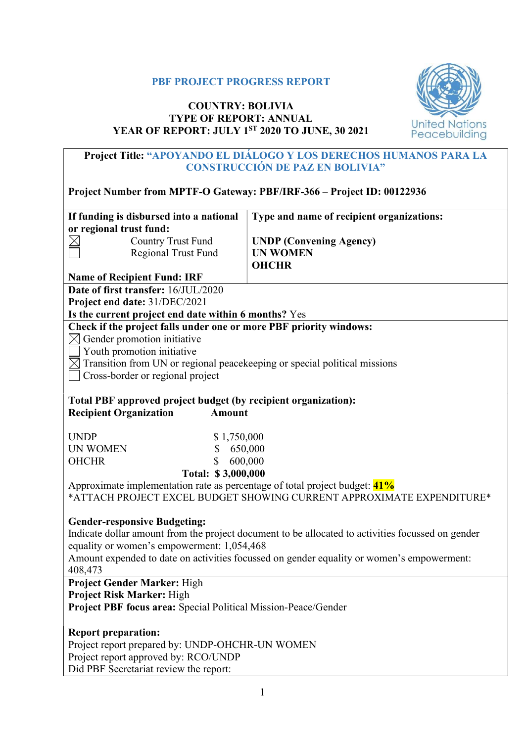#### PBF PROJECT PROGRESS REPORT

## COUNTRY: BOLIVIA TYPE OF REPORT: ANNUAL YEAR OF REPORT: JULY 1ST 2020 TO JUNE, 30 2021



# Project Title: "APOYANDO EL DIÁLOGO Y LOS DERECHOS HUMANOS PARA LA CONSTRUCCIÓN DE PAZ EN BOLIVIA"

# Project Number from MPTF-O Gateway: PBF/IRF-366 – Project ID: 00122936

| If funding is disbursed into a national                                               | Type and name of recipient organizations:                                                         |
|---------------------------------------------------------------------------------------|---------------------------------------------------------------------------------------------------|
| or regional trust fund:                                                               |                                                                                                   |
| <b>Country Trust Fund</b><br>$\boxtimes$                                              | <b>UNDP</b> (Convening Agency)                                                                    |
| <b>Regional Trust Fund</b>                                                            | <b>UN WOMEN</b>                                                                                   |
|                                                                                       | <b>OHCHR</b>                                                                                      |
| <b>Name of Recipient Fund: IRF</b>                                                    |                                                                                                   |
| Date of first transfer: 16/JUL/2020                                                   |                                                                                                   |
| Project end date: 31/DEC/2021                                                         |                                                                                                   |
| Is the current project end date within 6 months? Yes                                  |                                                                                                   |
| Check if the project falls under one or more PBF priority windows:                    |                                                                                                   |
| $\boxtimes$ Gender promotion initiative                                               |                                                                                                   |
| Youth promotion initiative                                                            |                                                                                                   |
| $\boxtimes$ Transition from UN or regional peacekeeping or special political missions |                                                                                                   |
| Cross-border or regional project                                                      |                                                                                                   |
|                                                                                       |                                                                                                   |
| Total PBF approved project budget (by recipient organization):                        |                                                                                                   |
| <b>Recipient Organization</b><br><b>Amount</b>                                        |                                                                                                   |
| <b>UNDP</b><br>\$1,750,000                                                            |                                                                                                   |
| <b>UN WOMEN</b><br>\$                                                                 | 650,000                                                                                           |
| \$<br>600,000<br><b>OHCHR</b>                                                         |                                                                                                   |
| Total: \$3,000,000                                                                    |                                                                                                   |
| Approximate implementation rate as percentage of total project budget: 41%            |                                                                                                   |
|                                                                                       | *ATTACH PROJECT EXCEL BUDGET SHOWING CURRENT APPROXIMATE EXPENDITURE*                             |
|                                                                                       |                                                                                                   |
| <b>Gender-responsive Budgeting:</b>                                                   |                                                                                                   |
|                                                                                       | Indicate dollar amount from the project document to be allocated to activities focussed on gender |
| equality or women's empowerment: 1,054,468                                            |                                                                                                   |
|                                                                                       | Amount expended to date on activities focussed on gender equality or women's empowerment:         |
| 408,473                                                                               |                                                                                                   |
| Project Gender Marker: High                                                           |                                                                                                   |
| <b>Project Risk Marker: High</b>                                                      |                                                                                                   |
| Project PBF focus area: Special Political Mission-Peace/Gender                        |                                                                                                   |
|                                                                                       |                                                                                                   |
| <b>Report preparation:</b>                                                            |                                                                                                   |
| Project report prepared by: UNDP-OHCHR-UN WOMEN                                       |                                                                                                   |
| Project report approved by: RCO/UNDP                                                  |                                                                                                   |
| Did PBF Secretariat review the report:                                                |                                                                                                   |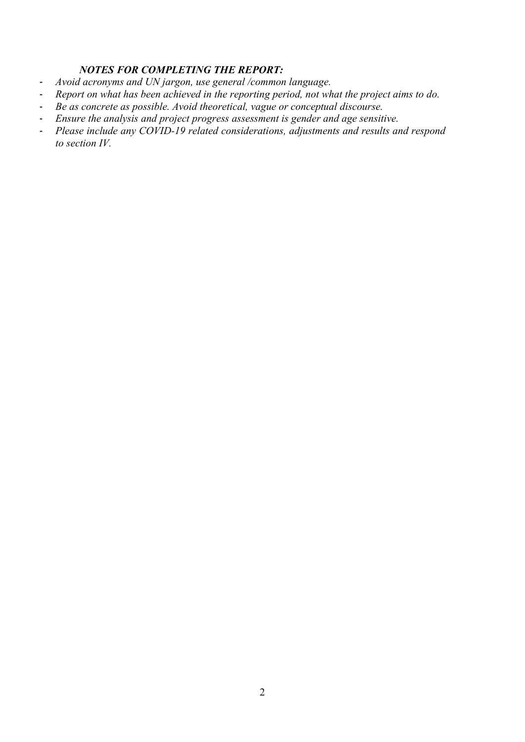## NOTES FOR COMPLETING THE REPORT:

- Avoid acronyms and UN jargon, use general /common language.
- Report on what has been achieved in the reporting period, not what the project aims to do.
- Be as concrete as possible. Avoid theoretical, vague or conceptual discourse.
- Ensure the analysis and project progress assessment is gender and age sensitive.
- Please include any COVID-19 related considerations, adjustments and results and respond to section IV.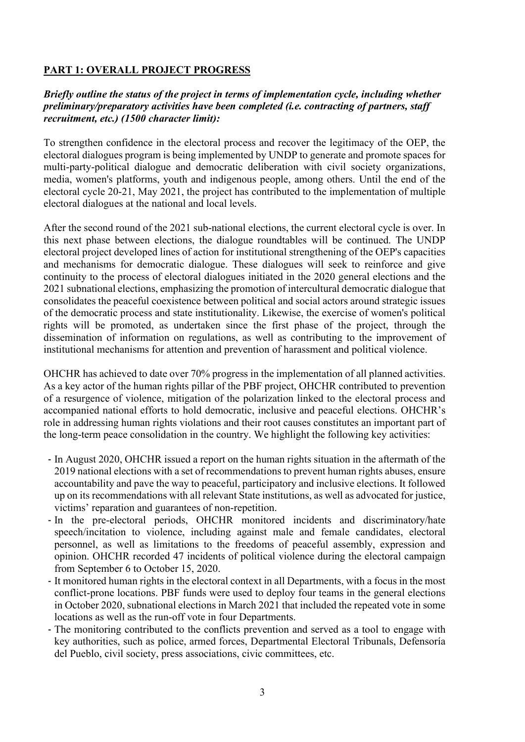# PART 1: OVERALL PROJECT PROGRESS

## Briefly outline the status of the project in terms of implementation cycle, including whether preliminary/preparatory activities have been completed (i.e. contracting of partners, staff recruitment, etc.) (1500 character limit):

To strengthen confidence in the electoral process and recover the legitimacy of the OEP, the electoral dialogues program is being implemented by UNDP to generate and promote spaces for multi-party-political dialogue and democratic deliberation with civil society organizations, media, women's platforms, youth and indigenous people, among others. Until the end of the electoral cycle 20-21, May 2021, the project has contributed to the implementation of multiple electoral dialogues at the national and local levels.

After the second round of the 2021 sub-national elections, the current electoral cycle is over. In this next phase between elections, the dialogue roundtables will be continued. The UNDP electoral project developed lines of action for institutional strengthening of the OEP's capacities and mechanisms for democratic dialogue. These dialogues will seek to reinforce and give continuity to the process of electoral dialogues initiated in the 2020 general elections and the 2021 subnational elections, emphasizing the promotion of intercultural democratic dialogue that consolidates the peaceful coexistence between political and social actors around strategic issues of the democratic process and state institutionality. Likewise, the exercise of women's political rights will be promoted, as undertaken since the first phase of the project, through the dissemination of information on regulations, as well as contributing to the improvement of institutional mechanisms for attention and prevention of harassment and political violence.

OHCHR has achieved to date over 70% progress in the implementation of all planned activities. As a key actor of the human rights pillar of the PBF project, OHCHR contributed to prevention of a resurgence of violence, mitigation of the polarization linked to the electoral process and accompanied national efforts to hold democratic, inclusive and peaceful elections. OHCHR's role in addressing human rights violations and their root causes constitutes an important part of the long-term peace consolidation in the country. We highlight the following key activities:

- In August 2020, OHCHR issued a report on the human rights situation in the aftermath of the 2019 national elections with a set of recommendations to prevent human rights abuses, ensure accountability and pave the way to peaceful, participatory and inclusive elections. It followed up on its recommendations with all relevant State institutions, as well as advocated for justice, victims' reparation and guarantees of non-repetition.
- In the pre-electoral periods, OHCHR monitored incidents and discriminatory/hate speech/incitation to violence, including against male and female candidates, electoral personnel, as well as limitations to the freedoms of peaceful assembly, expression and opinion. OHCHR recorded 47 incidents of political violence during the electoral campaign from September 6 to October 15, 2020.
- It monitored human rights in the electoral context in all Departments, with a focus in the most conflict-prone locations. PBF funds were used to deploy four teams in the general elections in October 2020, subnational elections in March 2021 that included the repeated vote in some locations as well as the run-off vote in four Departments.
- The monitoring contributed to the conflicts prevention and served as a tool to engage with key authorities, such as police, armed forces, Departmental Electoral Tribunals, Defensoría del Pueblo, civil society, press associations, civic committees, etc.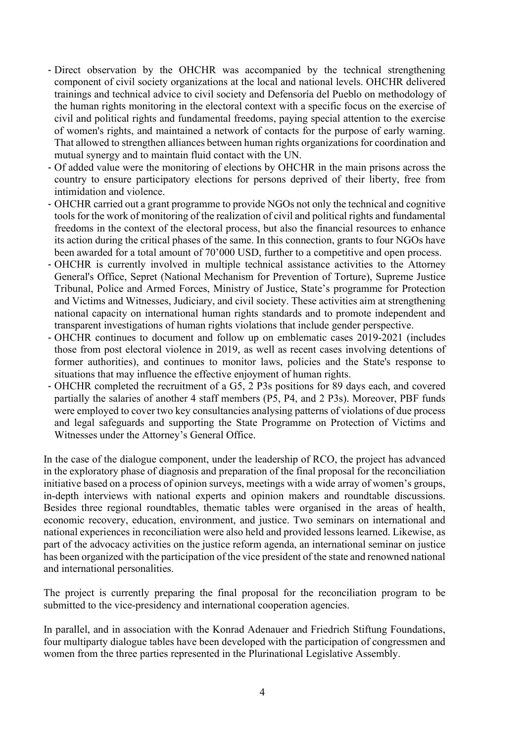- Direct observation by the OHCHR was accompanied by the technical strengthening component of civil society organizations at the local and national levels. OHCHR delivered trainings and technical advice to civil society and Defensoría del Pueblo on methodology of the human rights monitoring in the electoral context with a specific focus on the exercise of civil and political rights and fundamental freedoms, paying special attention to the exercise of women's rights, and maintained a network of contacts for the purpose of early warning. That allowed to strengthen alliances between human rights organizations for coordination and mutual synergy and to maintain fluid contact with the UN.
- Of added value were the monitoring of elections by OHCHR in the main prisons across the country to ensure participatory elections for persons deprived of their liberty, free from intimidation and violence.
- OHCHR carried out a grant programme to provide NGOs not only the technical and cognitive tools for the work of monitoring of the realization of civil and political rights and fundamental freedoms in the context of the electoral process, but also the financial resources to enhance its action during the critical phases of the same. In this connection, grants to four NGOs have been awarded for a total amount of 70'000 USD, further to a competitive and open process.
- OHCHR is currently involved in multiple technical assistance activities to the Attorney General's Office, Sepret (National Mechanism for Prevention of Torture), Supreme Justice Tribunal, Police and Armed Forces, Ministry of Justice, State's programme for Protection and Victims and Witnesses, Judiciary, and civil society. These activities aim at strengthening national capacity on international human rights standards and to promote independent and transparent investigations of human rights violations that include gender perspective.
- OHCHR continues to document and follow up on emblematic cases 2019-2021 (includes those from post electoral violence in 2019, as well as recent cases involving detentions of former authorities), and continues to monitor laws, policies and the State's response to situations that may influence the effective enjoyment of human rights.
- OHCHR completed the recruitment of a G5, 2 P3s positions for 89 days each, and covered partially the salaries of another 4 staff members (P5, P4, and 2 P3s). Moreover, PBF funds were employed to cover two key consultancies analysing patterns of violations of due process and legal safeguards and supporting the State Programme on Protection of Victims and Witnesses under the Attorney's General Office.

In the case of the dialogue component, under the leadership of RCO, the project has advanced in the exploratory phase of diagnosis and preparation of the final proposal for the reconciliation initiative based on a process of opinion surveys, meetings with a wide array of women's groups, in-depth interviews with national experts and opinion makers and roundtable discussions. Besides three regional roundtables, thematic tables were organised in the areas of health, economic recovery, education, environment, and justice. Two seminars on international and national experiences in reconciliation were also held and provided lessons learned. Likewise, as part of the advocacy activities on the justice reform agenda, an international seminar on justice has been organized with the participation of the vice president of the state and renowned national and international personalities.

The project is currently preparing the final proposal for the reconciliation program to be submitted to the vice-presidency and international cooperation agencies.

In parallel, and in association with the Konrad Adenauer and Friedrich Stiftung Foundations, four multiparty dialogue tables have been developed with the participation of congressmen and women from the three parties represented in the Plurinational Legislative Assembly.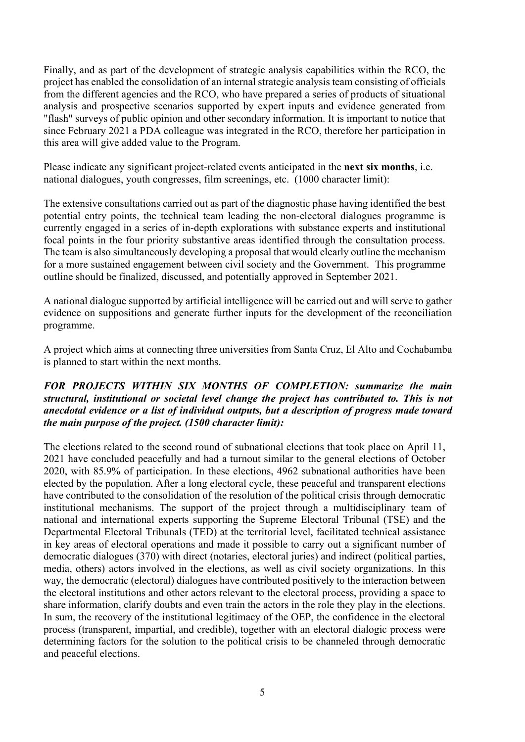Finally, and as part of the development of strategic analysis capabilities within the RCO, the project has enabled the consolidation of an internal strategic analysis team consisting of officials from the different agencies and the RCO, who have prepared a series of products of situational analysis and prospective scenarios supported by expert inputs and evidence generated from "flash" surveys of public opinion and other secondary information. It is important to notice that since February 2021 a PDA colleague was integrated in the RCO, therefore her participation in this area will give added value to the Program.

Please indicate any significant project-related events anticipated in the next six months, i.e. national dialogues, youth congresses, film screenings, etc. (1000 character limit):

The extensive consultations carried out as part of the diagnostic phase having identified the best potential entry points, the technical team leading the non-electoral dialogues programme is currently engaged in a series of in-depth explorations with substance experts and institutional focal points in the four priority substantive areas identified through the consultation process. The team is also simultaneously developing a proposal that would clearly outline the mechanism for a more sustained engagement between civil society and the Government. This programme outline should be finalized, discussed, and potentially approved in September 2021.

A national dialogue supported by artificial intelligence will be carried out and will serve to gather evidence on suppositions and generate further inputs for the development of the reconciliation programme.

A project which aims at connecting three universities from Santa Cruz, El Alto and Cochabamba is planned to start within the next months.

#### FOR PROJECTS WITHIN SIX MONTHS OF COMPLETION: summarize the main structural, institutional or societal level change the project has contributed to. This is not anecdotal evidence or a list of individual outputs, but a description of progress made toward the main purpose of the project. (1500 character limit):

The elections related to the second round of subnational elections that took place on April 11, 2021 have concluded peacefully and had a turnout similar to the general elections of October 2020, with 85.9% of participation. In these elections, 4962 subnational authorities have been elected by the population. After a long electoral cycle, these peaceful and transparent elections have contributed to the consolidation of the resolution of the political crisis through democratic institutional mechanisms. The support of the project through a multidisciplinary team of national and international experts supporting the Supreme Electoral Tribunal (TSE) and the Departmental Electoral Tribunals (TED) at the territorial level, facilitated technical assistance in key areas of electoral operations and made it possible to carry out a significant number of democratic dialogues (370) with direct (notaries, electoral juries) and indirect (political parties, media, others) actors involved in the elections, as well as civil society organizations. In this way, the democratic (electoral) dialogues have contributed positively to the interaction between the electoral institutions and other actors relevant to the electoral process, providing a space to share information, clarify doubts and even train the actors in the role they play in the elections. In sum, the recovery of the institutional legitimacy of the OEP, the confidence in the electoral process (transparent, impartial, and credible), together with an electoral dialogic process were determining factors for the solution to the political crisis to be channeled through democratic and peaceful elections.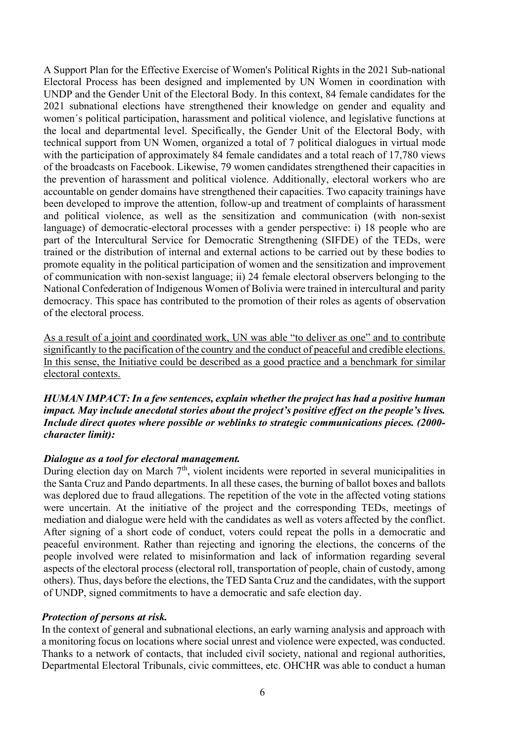A Support Plan for the Effective Exercise of Women's Political Rights in the 2021 Sub-national Electoral Process has been designed and implemented by UN Women in coordination with UNDP and the Gender Unit of the Electoral Body. In this context, 84 female candidates for the 2021 subnational elections have strengthened their knowledge on gender and equality and women´s political participation, harassment and political violence, and legislative functions at the local and departmental level. Specifically, the Gender Unit of the Electoral Body, with technical support from UN Women, organized a total of 7 political dialogues in virtual mode with the participation of approximately 84 female candidates and a total reach of 17,780 views of the broadcasts on Facebook. Likewise, 79 women candidates strengthened their capacities in the prevention of harassment and political violence. Additionally, electoral workers who are accountable on gender domains have strengthened their capacities. Two capacity trainings have been developed to improve the attention, follow-up and treatment of complaints of harassment and political violence, as well as the sensitization and communication (with non-sexist language) of democratic-electoral processes with a gender perspective: i) 18 people who are part of the Intercultural Service for Democratic Strengthening (SIFDE) of the TEDs, were trained or the distribution of internal and external actions to be carried out by these bodies to promote equality in the political participation of women and the sensitization and improvement of communication with non-sexist language; ii) 24 female electoral observers belonging to the National Confederation of Indigenous Women of Bolivia were trained in intercultural and parity democracy. This space has contributed to the promotion of their roles as agents of observation of the electoral process.

As a result of a joint and coordinated work, UN was able "to deliver as one" and to contribute significantly to the pacification of the country and the conduct of peaceful and credible elections. In this sense, the Initiative could be described as a good practice and a benchmark for similar electoral contexts.

HUMAN IMPACT: In a few sentences, explain whether the project has had a positive human impact. May include anecdotal stories about the project's positive effect on the people's lives. Include direct quotes where possible or weblinks to strategic communications pieces. (2000 character limit):

#### Dialogue as a tool for electoral management.

During election day on March 7<sup>th</sup>, violent incidents were reported in several municipalities in the Santa Cruz and Pando departments. In all these cases, the burning of ballot boxes and ballots was deplored due to fraud allegations. The repetition of the vote in the affected voting stations were uncertain. At the initiative of the project and the corresponding TEDs, meetings of mediation and dialogue were held with the candidates as well as voters affected by the conflict. After signing of a short code of conduct, voters could repeat the polls in a democratic and peaceful environment. Rather than rejecting and ignoring the elections, the concerns of the people involved were related to misinformation and lack of information regarding several aspects of the electoral process (electoral roll, transportation of people, chain of custody, among others). Thus, days before the elections, the TED Santa Cruz and the candidates, with the support of UNDP, signed commitments to have a democratic and safe election day.

#### Protection of persons at risk.

In the context of general and subnational elections, an early warning analysis and approach with a monitoring focus on locations where social unrest and violence were expected, was conducted. Thanks to a network of contacts, that included civil society, national and regional authorities, Departmental Electoral Tribunals, civic committees, etc. OHCHR was able to conduct a human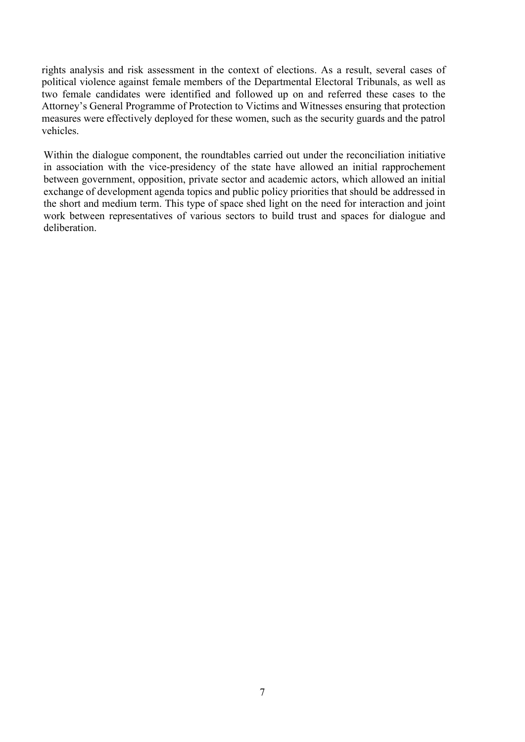rights analysis and risk assessment in the context of elections. As a result, several cases of political violence against female members of the Departmental Electoral Tribunals, as well as two female candidates were identified and followed up on and referred these cases to the Attorney's General Programme of Protection to Victims and Witnesses ensuring that protection measures were effectively deployed for these women, such as the security guards and the patrol vehicles.

Within the dialogue component, the roundtables carried out under the reconciliation initiative in association with the vice-presidency of the state have allowed an initial rapprochement between government, opposition, private sector and academic actors, which allowed an initial exchange of development agenda topics and public policy priorities that should be addressed in the short and medium term. This type of space shed light on the need for interaction and joint work between representatives of various sectors to build trust and spaces for dialogue and deliberation.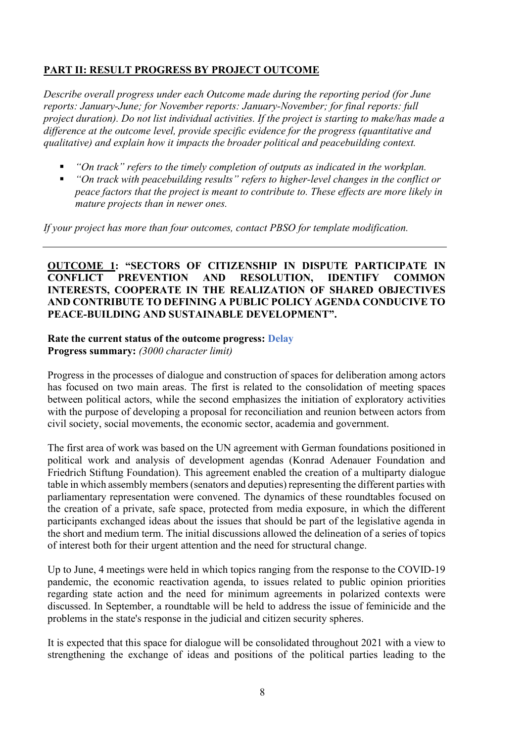# PART II: RESULT PROGRESS BY PROJECT OUTCOME

Describe overall progress under each Outcome made during the reporting period (for June reports: January-June; for November reports: January-November; for final reports: full project duration). Do not list individual activities. If the project is starting to make/has made a difference at the outcome level, provide specific evidence for the progress (quantitative and qualitative) and explain how it impacts the broader political and peacebuilding context.

- "On track" refers to the timely completion of outputs as indicated in the workplan.
- "On track with peacebuilding results" refers to higher-level changes in the conflict or peace factors that the project is meant to contribute to. These effects are more likely in mature projects than in newer ones.

If your project has more than four outcomes, contact PBSO for template modification.

#### OUTCOME 1: "SECTORS OF CITIZENSHIP IN DISPUTE PARTICIPATE IN CONFLICT PREVENTION AND RESOLUTION, IDENTIFY COMMON INTERESTS, COOPERATE IN THE REALIZATION OF SHARED OBJECTIVES AND CONTRIBUTE TO DEFINING A PUBLIC POLICY AGENDA CONDUCIVE TO PEACE-BUILDING AND SUSTAINABLE DEVELOPMENT".

#### Rate the current status of the outcome progress: Delay

Progress summary: (3000 character limit)

Progress in the processes of dialogue and construction of spaces for deliberation among actors has focused on two main areas. The first is related to the consolidation of meeting spaces between political actors, while the second emphasizes the initiation of exploratory activities with the purpose of developing a proposal for reconciliation and reunion between actors from civil society, social movements, the economic sector, academia and government.

The first area of work was based on the UN agreement with German foundations positioned in political work and analysis of development agendas (Konrad Adenauer Foundation and Friedrich Stiftung Foundation). This agreement enabled the creation of a multiparty dialogue table in which assembly members (senators and deputies) representing the different parties with parliamentary representation were convened. The dynamics of these roundtables focused on the creation of a private, safe space, protected from media exposure, in which the different participants exchanged ideas about the issues that should be part of the legislative agenda in the short and medium term. The initial discussions allowed the delineation of a series of topics of interest both for their urgent attention and the need for structural change.

Up to June, 4 meetings were held in which topics ranging from the response to the COVID-19 pandemic, the economic reactivation agenda, to issues related to public opinion priorities regarding state action and the need for minimum agreements in polarized contexts were discussed. In September, a roundtable will be held to address the issue of feminicide and the problems in the state's response in the judicial and citizen security spheres.

It is expected that this space for dialogue will be consolidated throughout 2021 with a view to strengthening the exchange of ideas and positions of the political parties leading to the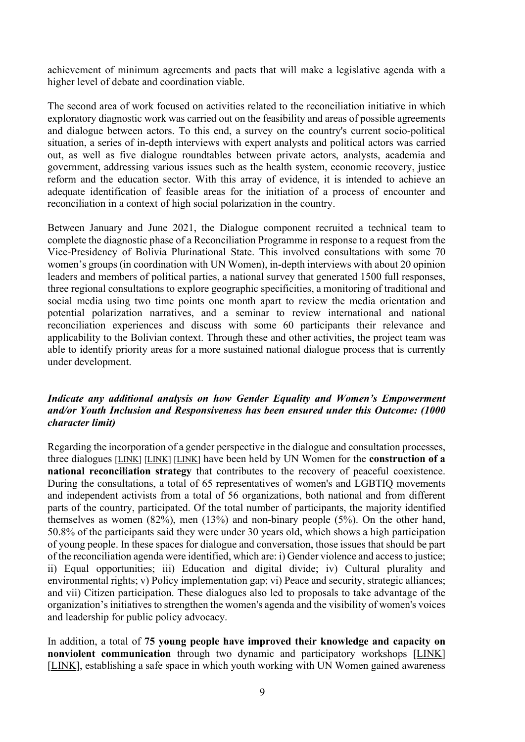achievement of minimum agreements and pacts that will make a legislative agenda with a higher level of debate and coordination viable.

The second area of work focused on activities related to the reconciliation initiative in which exploratory diagnostic work was carried out on the feasibility and areas of possible agreements and dialogue between actors. To this end, a survey on the country's current socio-political situation, a series of in-depth interviews with expert analysts and political actors was carried out, as well as five dialogue roundtables between private actors, analysts, academia and government, addressing various issues such as the health system, economic recovery, justice reform and the education sector. With this array of evidence, it is intended to achieve an adequate identification of feasible areas for the initiation of a process of encounter and reconciliation in a context of high social polarization in the country.

Between January and June 2021, the Dialogue component recruited a technical team to complete the diagnostic phase of a Reconciliation Programme in response to a request from the Vice-Presidency of Bolivia Plurinational State. This involved consultations with some 70 women's groups (in coordination with UN Women), in-depth interviews with about 20 opinion leaders and members of political parties, a national survey that generated 1500 full responses, three regional consultations to explore geographic specificities, a monitoring of traditional and social media using two time points one month apart to review the media orientation and potential polarization narratives, and a seminar to review international and national reconciliation experiences and discuss with some 60 participants their relevance and applicability to the Bolivian context. Through these and other activities, the project team was able to identify priority areas for a more sustained national dialogue process that is currently under development.

## Indicate any additional analysis on how Gender Equality and Women's Empowerment and/or Youth Inclusion and Responsiveness has been ensured under this Outcome: (1000 character limit)

Regarding the incorporation of a gender perspective in the dialogue and consultation processes, three dialogues [LINK] [LINK] [LINK] have been held by UN Women for the construction of a national reconciliation strategy that contributes to the recovery of peaceful coexistence. During the consultations, a total of 65 representatives of women's and LGBTIQ movements and independent activists from a total of 56 organizations, both national and from different parts of the country, participated. Of the total number of participants, the majority identified themselves as women (82%), men (13%) and non-binary people (5%). On the other hand, 50.8% of the participants said they were under 30 years old, which shows a high participation of young people. In these spaces for dialogue and conversation, those issues that should be part of the reconciliation agenda were identified, which are: i) Gender violence and access to justice; ii) Equal opportunities; iii) Education and digital divide; iv) Cultural plurality and environmental rights; v) Policy implementation gap; vi) Peace and security, strategic alliances; and vii) Citizen participation. These dialogues also led to proposals to take advantage of the organization's initiatives to strengthen the women's agenda and the visibility of women's voices and leadership for public policy advocacy.

In addition, a total of 75 young people have improved their knowledge and capacity on nonviolent communication through two dynamic and participatory workshops [LINK] [LINK], establishing a safe space in which youth working with UN Women gained awareness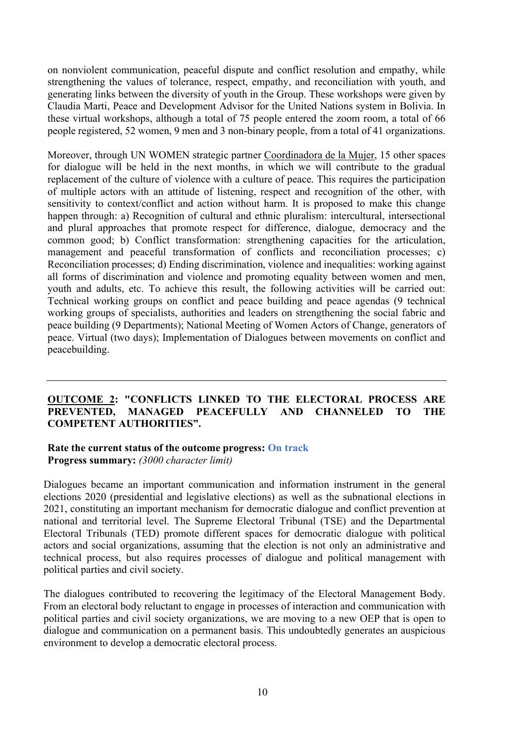on nonviolent communication, peaceful dispute and conflict resolution and empathy, while strengthening the values of tolerance, respect, empathy, and reconciliation with youth, and generating links between the diversity of youth in the Group. These workshops were given by Claudia Marti, Peace and Development Advisor for the United Nations system in Bolivia. In these virtual workshops, although a total of 75 people entered the zoom room, a total of 66 people registered, 52 women, 9 men and 3 non-binary people, from a total of 41 organizations.

Moreover, through UN WOMEN strategic partner Coordinadora de la Mujer, 15 other spaces for dialogue will be held in the next months, in which we will contribute to the gradual replacement of the culture of violence with a culture of peace. This requires the participation of multiple actors with an attitude of listening, respect and recognition of the other, with sensitivity to context/conflict and action without harm. It is proposed to make this change happen through: a) Recognition of cultural and ethnic pluralism: intercultural, intersectional and plural approaches that promote respect for difference, dialogue, democracy and the common good; b) Conflict transformation: strengthening capacities for the articulation, management and peaceful transformation of conflicts and reconciliation processes; c) Reconciliation processes; d) Ending discrimination, violence and inequalities: working against all forms of discrimination and violence and promoting equality between women and men, youth and adults, etc. To achieve this result, the following activities will be carried out: Technical working groups on conflict and peace building and peace agendas (9 technical working groups of specialists, authorities and leaders on strengthening the social fabric and peace building (9 Departments); National Meeting of Women Actors of Change, generators of peace. Virtual (two days); Implementation of Dialogues between movements on conflict and peacebuilding.

#### OUTCOME 2: "CONFLICTS LINKED TO THE ELECTORAL PROCESS ARE PREVENTED, MANAGED PEACEFULLY AND CHANNELED TO THE COMPETENT AUTHORITIES".

#### Rate the current status of the outcome progress: On track Progress summary: (3000 character limit)

Dialogues became an important communication and information instrument in the general elections 2020 (presidential and legislative elections) as well as the subnational elections in 2021, constituting an important mechanism for democratic dialogue and conflict prevention at national and territorial level. The Supreme Electoral Tribunal (TSE) and the Departmental Electoral Tribunals (TED) promote different spaces for democratic dialogue with political actors and social organizations, assuming that the election is not only an administrative and technical process, but also requires processes of dialogue and political management with political parties and civil society.

The dialogues contributed to recovering the legitimacy of the Electoral Management Body. From an electoral body reluctant to engage in processes of interaction and communication with political parties and civil society organizations, we are moving to a new OEP that is open to dialogue and communication on a permanent basis. This undoubtedly generates an auspicious environment to develop a democratic electoral process.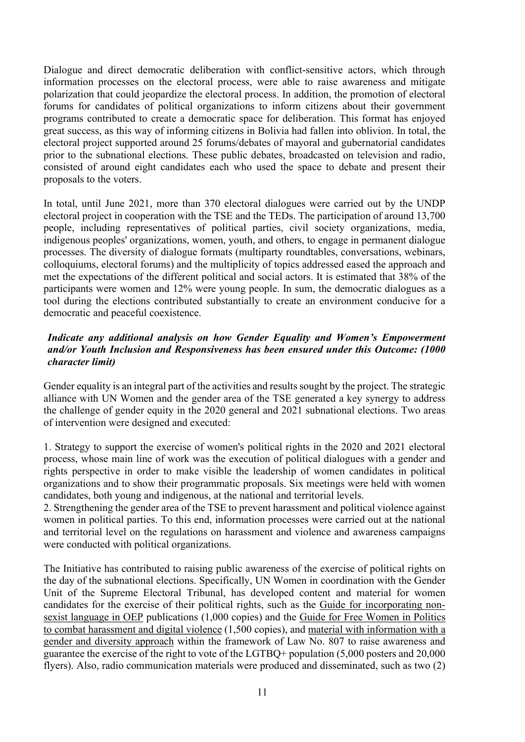Dialogue and direct democratic deliberation with conflict-sensitive actors, which through information processes on the electoral process, were able to raise awareness and mitigate polarization that could jeopardize the electoral process. In addition, the promotion of electoral forums for candidates of political organizations to inform citizens about their government programs contributed to create a democratic space for deliberation. This format has enjoyed great success, as this way of informing citizens in Bolivia had fallen into oblivion. In total, the electoral project supported around 25 forums/debates of mayoral and gubernatorial candidates prior to the subnational elections. These public debates, broadcasted on television and radio, consisted of around eight candidates each who used the space to debate and present their proposals to the voters.

In total, until June 2021, more than 370 electoral dialogues were carried out by the UNDP electoral project in cooperation with the TSE and the TEDs. The participation of around 13,700 people, including representatives of political parties, civil society organizations, media, indigenous peoples' organizations, women, youth, and others, to engage in permanent dialogue processes. The diversity of dialogue formats (multiparty roundtables, conversations, webinars, colloquiums, electoral forums) and the multiplicity of topics addressed eased the approach and met the expectations of the different political and social actors. It is estimated that 38% of the participants were women and 12% were young people. In sum, the democratic dialogues as a tool during the elections contributed substantially to create an environment conducive for a democratic and peaceful coexistence.

## Indicate any additional analysis on how Gender Equality and Women's Empowerment and/or Youth Inclusion and Responsiveness has been ensured under this Outcome: (1000 character limit)

Gender equality is an integral part of the activities and results sought by the project. The strategic alliance with UN Women and the gender area of the TSE generated a key synergy to address the challenge of gender equity in the 2020 general and 2021 subnational elections. Two areas of intervention were designed and executed:

1. Strategy to support the exercise of women's political rights in the 2020 and 2021 electoral process, whose main line of work was the execution of political dialogues with a gender and rights perspective in order to make visible the leadership of women candidates in political organizations and to show their programmatic proposals. Six meetings were held with women candidates, both young and indigenous, at the national and territorial levels.

2. Strengthening the gender area of the TSE to prevent harassment and political violence against women in political parties. To this end, information processes were carried out at the national and territorial level on the regulations on harassment and violence and awareness campaigns were conducted with political organizations.

The Initiative has contributed to raising public awareness of the exercise of political rights on the day of the subnational elections. Specifically, UN Women in coordination with the Gender Unit of the Supreme Electoral Tribunal, has developed content and material for women candidates for the exercise of their political rights, such as the Guide for incorporating nonsexist language in OEP publications (1,000 copies) and the Guide for Free Women in Politics to combat harassment and digital violence (1,500 copies), and material with information with a gender and diversity approach within the framework of Law No. 807 to raise awareness and guarantee the exercise of the right to vote of the LGTBQ+ population (5,000 posters and 20,000 flyers). Also, radio communication materials were produced and disseminated, such as two (2)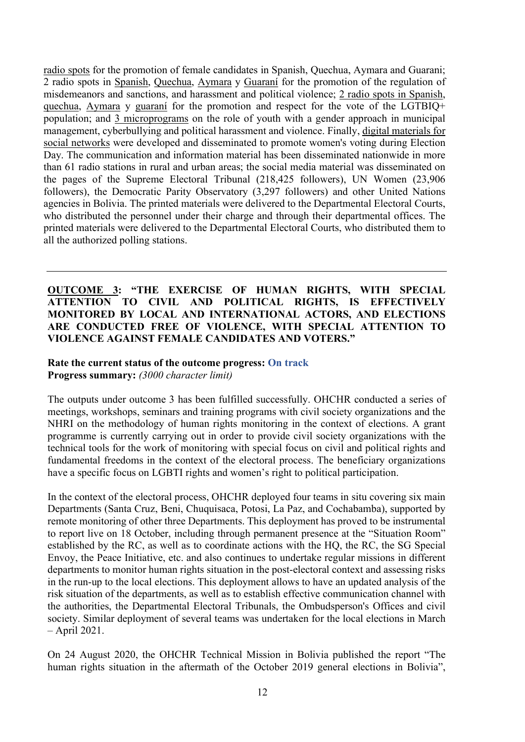radio spots for the promotion of female candidates in Spanish, Quechua, Aymara and Guarani; 2 radio spots in Spanish, Quechua, Aymara y Guaraní for the promotion of the regulation of misdemeanors and sanctions, and harassment and political violence; 2 radio spots in Spanish, quechua, Aymara y guaraní for the promotion and respect for the vote of the LGTBIQ+ population; and 3 microprograms on the role of youth with a gender approach in municipal management, cyberbullying and political harassment and violence. Finally, digital materials for social networks were developed and disseminated to promote women's voting during Election Day. The communication and information material has been disseminated nationwide in more than 61 radio stations in rural and urban areas; the social media material was disseminated on the pages of the Supreme Electoral Tribunal (218,425 followers), UN Women (23,906 followers), the Democratic Parity Observatory (3,297 followers) and other United Nations agencies in Bolivia. The printed materials were delivered to the Departmental Electoral Courts, who distributed the personnel under their charge and through their departmental offices. The printed materials were delivered to the Departmental Electoral Courts, who distributed them to all the authorized polling stations.

OUTCOME 3: "THE EXERCISE OF HUMAN RIGHTS, WITH SPECIAL ATTENTION TO CIVIL AND POLITICAL RIGHTS, IS EFFECTIVELY MONITORED BY LOCAL AND INTERNATIONAL ACTORS, AND ELECTIONS ARE CONDUCTED FREE OF VIOLENCE, WITH SPECIAL ATTENTION TO VIOLENCE AGAINST FEMALE CANDIDATES AND VOTERS."

#### Rate the current status of the outcome progress: On track Progress summary: (3000 character limit)

The outputs under outcome 3 has been fulfilled successfully. OHCHR conducted a series of meetings, workshops, seminars and training programs with civil society organizations and the NHRI on the methodology of human rights monitoring in the context of elections. A grant programme is currently carrying out in order to provide civil society organizations with the technical tools for the work of monitoring with special focus on civil and political rights and fundamental freedoms in the context of the electoral process. The beneficiary organizations have a specific focus on LGBTI rights and women's right to political participation.

In the context of the electoral process, OHCHR deployed four teams in situ covering six main Departments (Santa Cruz, Beni, Chuquisaca, Potosi, La Paz, and Cochabamba), supported by remote monitoring of other three Departments. This deployment has proved to be instrumental to report live on 18 October, including through permanent presence at the "Situation Room" established by the RC, as well as to coordinate actions with the HQ, the RC, the SG Special Envoy, the Peace Initiative, etc. and also continues to undertake regular missions in different departments to monitor human rights situation in the post-electoral context and assessing risks in the run-up to the local elections. This deployment allows to have an updated analysis of the risk situation of the departments, as well as to establish effective communication channel with the authorities, the Departmental Electoral Tribunals, the Ombudsperson's Offices and civil society. Similar deployment of several teams was undertaken for the local elections in March – April 2021.

On 24 August 2020, the OHCHR Technical Mission in Bolivia published the report "The human rights situation in the aftermath of the October 2019 general elections in Bolivia",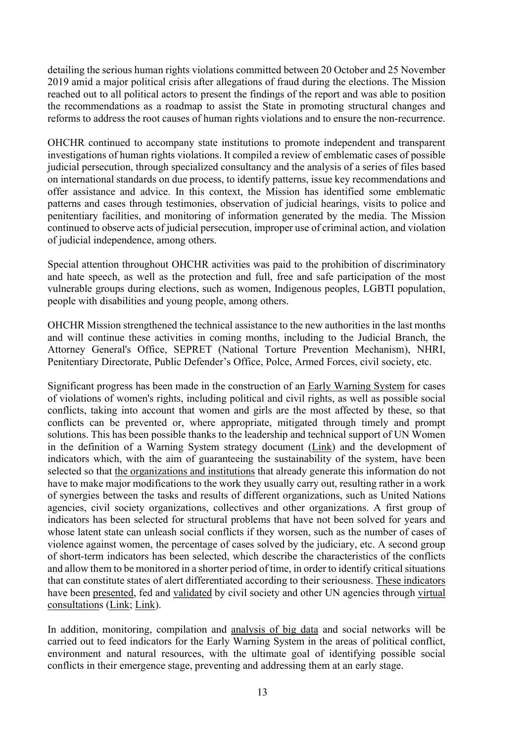detailing the serious human rights violations committed between 20 October and 25 November 2019 amid a major political crisis after allegations of fraud during the elections. The Mission reached out to all political actors to present the findings of the report and was able to position the recommendations as a roadmap to assist the State in promoting structural changes and reforms to address the root causes of human rights violations and to ensure the non-recurrence.

OHCHR continued to accompany state institutions to promote independent and transparent investigations of human rights violations. It compiled a review of emblematic cases of possible judicial persecution, through specialized consultancy and the analysis of a series of files based on international standards on due process, to identify patterns, issue key recommendations and offer assistance and advice. In this context, the Mission has identified some emblematic patterns and cases through testimonies, observation of judicial hearings, visits to police and penitentiary facilities, and monitoring of information generated by the media. The Mission continued to observe acts of judicial persecution, improper use of criminal action, and violation of judicial independence, among others.

Special attention throughout OHCHR activities was paid to the prohibition of discriminatory and hate speech, as well as the protection and full, free and safe participation of the most vulnerable groups during elections, such as women, Indigenous peoples, LGBTI population, people with disabilities and young people, among others.

OHCHR Mission strengthened the technical assistance to the new authorities in the last months and will continue these activities in coming months, including to the Judicial Branch, the Attorney General's Office, SEPRET (National Torture Prevention Mechanism), NHRI, Penitentiary Directorate, Public Defender's Office, Polce, Armed Forces, civil society, etc.

Significant progress has been made in the construction of an Early Warning System for cases of violations of women's rights, including political and civil rights, as well as possible social conflicts, taking into account that women and girls are the most affected by these, so that conflicts can be prevented or, where appropriate, mitigated through timely and prompt solutions. This has been possible thanks to the leadership and technical support of UN Women in the definition of a Warning System strategy document (Link) and the development of indicators which, with the aim of guaranteeing the sustainability of the system, have been selected so that the organizations and institutions that already generate this information do not have to make major modifications to the work they usually carry out, resulting rather in a work of synergies between the tasks and results of different organizations, such as United Nations agencies, civil society organizations, collectives and other organizations. A first group of indicators has been selected for structural problems that have not been solved for years and whose latent state can unleash social conflicts if they worsen, such as the number of cases of violence against women, the percentage of cases solved by the judiciary, etc. A second group of short-term indicators has been selected, which describe the characteristics of the conflicts and allow them to be monitored in a shorter period of time, in order to identify critical situations that can constitute states of alert differentiated according to their seriousness. These indicators have been presented, fed and validated by civil society and other UN agencies through virtual consultations (Link; Link).

In addition, monitoring, compilation and analysis of big data and social networks will be carried out to feed indicators for the Early Warning System in the areas of political conflict, environment and natural resources, with the ultimate goal of identifying possible social conflicts in their emergence stage, preventing and addressing them at an early stage.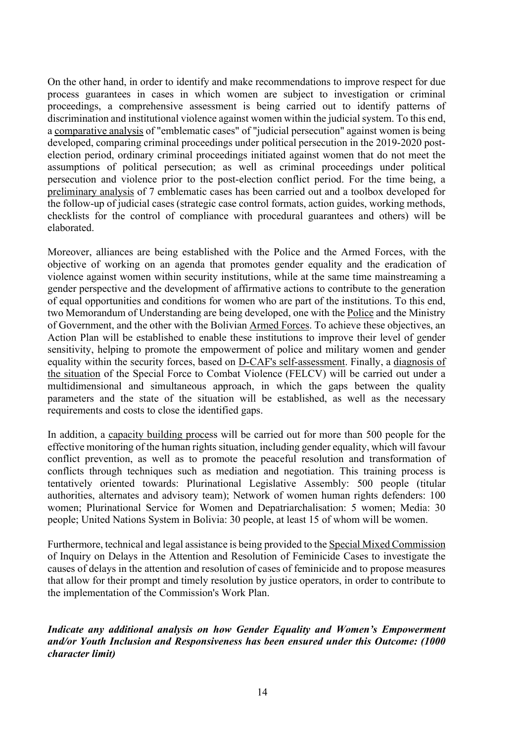On the other hand, in order to identify and make recommendations to improve respect for due process guarantees in cases in which women are subject to investigation or criminal proceedings, a comprehensive assessment is being carried out to identify patterns of discrimination and institutional violence against women within the judicial system. To this end, a comparative analysis of "emblematic cases" of "judicial persecution" against women is being developed, comparing criminal proceedings under political persecution in the 2019-2020 postelection period, ordinary criminal proceedings initiated against women that do not meet the assumptions of political persecution; as well as criminal proceedings under political persecution and violence prior to the post-election conflict period. For the time being, a preliminary analysis of 7 emblematic cases has been carried out and a toolbox developed for the follow-up of judicial cases (strategic case control formats, action guides, working methods, checklists for the control of compliance with procedural guarantees and others) will be elaborated.

Moreover, alliances are being established with the Police and the Armed Forces, with the objective of working on an agenda that promotes gender equality and the eradication of violence against women within security institutions, while at the same time mainstreaming a gender perspective and the development of affirmative actions to contribute to the generation of equal opportunities and conditions for women who are part of the institutions. To this end, two Memorandum of Understanding are being developed, one with the Police and the Ministry of Government, and the other with the Bolivian Armed Forces. To achieve these objectives, an Action Plan will be established to enable these institutions to improve their level of gender sensitivity, helping to promote the empowerment of police and military women and gender equality within the security forces, based on D-CAF's self-assessment. Finally, a diagnosis of the situation of the Special Force to Combat Violence (FELCV) will be carried out under a multidimensional and simultaneous approach, in which the gaps between the quality parameters and the state of the situation will be established, as well as the necessary requirements and costs to close the identified gaps.

In addition, a capacity building process will be carried out for more than 500 people for the effective monitoring of the human rights situation, including gender equality, which will favour conflict prevention, as well as to promote the peaceful resolution and transformation of conflicts through techniques such as mediation and negotiation. This training process is tentatively oriented towards: Plurinational Legislative Assembly: 500 people (titular authorities, alternates and advisory team); Network of women human rights defenders: 100 women; Plurinational Service for Women and Depatriarchalisation: 5 women; Media: 30 people; United Nations System in Bolivia: 30 people, at least 15 of whom will be women.

Furthermore, technical and legal assistance is being provided to the Special Mixed Commission of Inquiry on Delays in the Attention and Resolution of Feminicide Cases to investigate the causes of delays in the attention and resolution of cases of feminicide and to propose measures that allow for their prompt and timely resolution by justice operators, in order to contribute to the implementation of the Commission's Work Plan.

Indicate any additional analysis on how Gender Equality and Women's Empowerment and/or Youth Inclusion and Responsiveness has been ensured under this Outcome: (1000 character limit)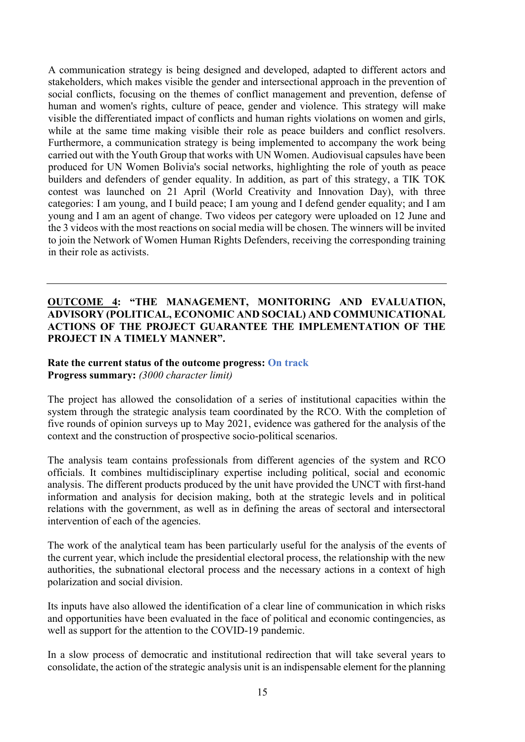A communication strategy is being designed and developed, adapted to different actors and stakeholders, which makes visible the gender and intersectional approach in the prevention of social conflicts, focusing on the themes of conflict management and prevention, defense of human and women's rights, culture of peace, gender and violence. This strategy will make visible the differentiated impact of conflicts and human rights violations on women and girls, while at the same time making visible their role as peace builders and conflict resolvers. Furthermore, a communication strategy is being implemented to accompany the work being carried out with the Youth Group that works with UN Women. Audiovisual capsules have been produced for UN Women Bolivia's social networks, highlighting the role of youth as peace builders and defenders of gender equality. In addition, as part of this strategy, a TIK TOK contest was launched on 21 April (World Creativity and Innovation Day), with three categories: I am young, and I build peace; I am young and I defend gender equality; and I am young and I am an agent of change. Two videos per category were uploaded on 12 June and the 3 videos with the most reactions on social media will be chosen. The winners will be invited to join the Network of Women Human Rights Defenders, receiving the corresponding training in their role as activists.

#### OUTCOME 4: "THE MANAGEMENT, MONITORING AND EVALUATION, ADVISORY (POLITICAL, ECONOMIC AND SOCIAL) AND COMMUNICATIONAL ACTIONS OF THE PROJECT GUARANTEE THE IMPLEMENTATION OF THE PROJECT IN A TIMELY MANNER".

#### Rate the current status of the outcome progress: On track Progress summary: (3000 character limit)

The project has allowed the consolidation of a series of institutional capacities within the system through the strategic analysis team coordinated by the RCO. With the completion of five rounds of opinion surveys up to May 2021, evidence was gathered for the analysis of the context and the construction of prospective socio-political scenarios.

The analysis team contains professionals from different agencies of the system and RCO officials. It combines multidisciplinary expertise including political, social and economic analysis. The different products produced by the unit have provided the UNCT with first-hand information and analysis for decision making, both at the strategic levels and in political relations with the government, as well as in defining the areas of sectoral and intersectoral intervention of each of the agencies.

The work of the analytical team has been particularly useful for the analysis of the events of the current year, which include the presidential electoral process, the relationship with the new authorities, the subnational electoral process and the necessary actions in a context of high polarization and social division.

Its inputs have also allowed the identification of a clear line of communication in which risks and opportunities have been evaluated in the face of political and economic contingencies, as well as support for the attention to the COVID-19 pandemic.

In a slow process of democratic and institutional redirection that will take several years to consolidate, the action of the strategic analysis unit is an indispensable element for the planning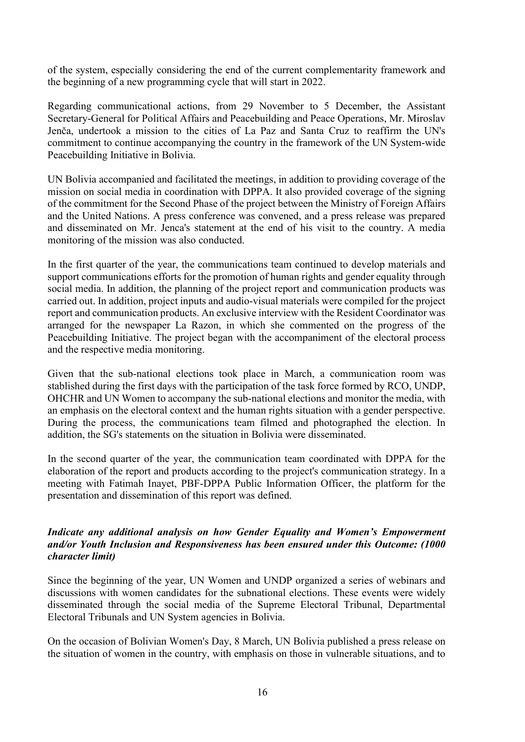of the system, especially considering the end of the current complementarity framework and the beginning of a new programming cycle that will start in 2022.

Regarding communicational actions, from 29 November to 5 December, the Assistant Secretary-General for Political Affairs and Peacebuilding and Peace Operations, Mr. Miroslav Jenča, undertook a mission to the cities of La Paz and Santa Cruz to reaffirm the UN's commitment to continue accompanying the country in the framework of the UN System-wide Peacebuilding Initiative in Bolivia.

UN Bolivia accompanied and facilitated the meetings, in addition to providing coverage of the mission on social media in coordination with DPPA. It also provided coverage of the signing of the commitment for the Second Phase of the project between the Ministry of Foreign Affairs and the United Nations. A press conference was convened, and a press release was prepared and disseminated on Mr. Jenca's statement at the end of his visit to the country. A media monitoring of the mission was also conducted.

In the first quarter of the year, the communications team continued to develop materials and support communications efforts for the promotion of human rights and gender equality through social media. In addition, the planning of the project report and communication products was carried out. In addition, project inputs and audio-visual materials were compiled for the project report and communication products. An exclusive interview with the Resident Coordinator was arranged for the newspaper La Razon, in which she commented on the progress of the Peacebuilding Initiative. The project began with the accompaniment of the electoral process and the respective media monitoring.

Given that the sub-national elections took place in March, a communication room was stablished during the first days with the participation of the task force formed by RCO, UNDP, OHCHR and UN Women to accompany the sub-national elections and monitor the media, with an emphasis on the electoral context and the human rights situation with a gender perspective. During the process, the communications team filmed and photographed the election. In addition, the SG's statements on the situation in Bolivia were disseminated.

In the second quarter of the year, the communication team coordinated with DPPA for the elaboration of the report and products according to the project's communication strategy. In a meeting with Fatimah Inayet, PBF-DPPA Public Information Officer, the platform for the presentation and dissemination of this report was defined.

## Indicate any additional analysis on how Gender Equality and Women's Empowerment and/or Youth Inclusion and Responsiveness has been ensured under this Outcome: (1000 character limit)

Since the beginning of the year, UN Women and UNDP organized a series of webinars and discussions with women candidates for the subnational elections. These events were widely disseminated through the social media of the Supreme Electoral Tribunal, Departmental Electoral Tribunals and UN System agencies in Bolivia.

On the occasion of Bolivian Women's Day, 8 March, UN Bolivia published a press release on the situation of women in the country, with emphasis on those in vulnerable situations, and to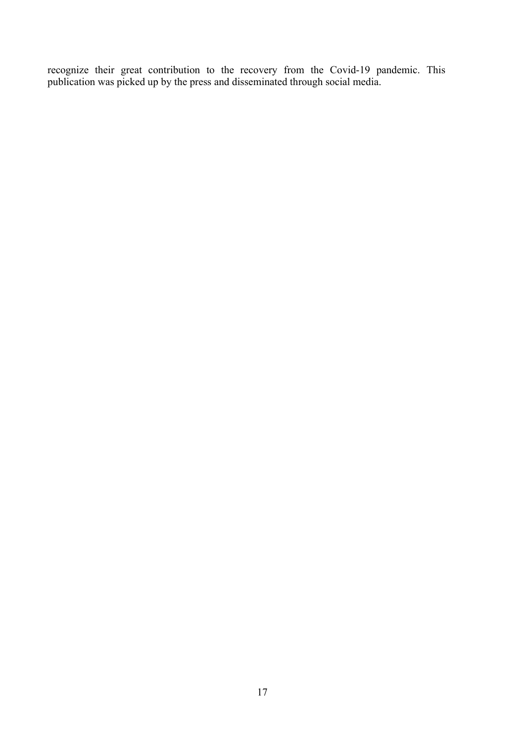recognize their great contribution to the recovery from the Covid-19 pandemic. This publication was picked up by the press and disseminated through social media.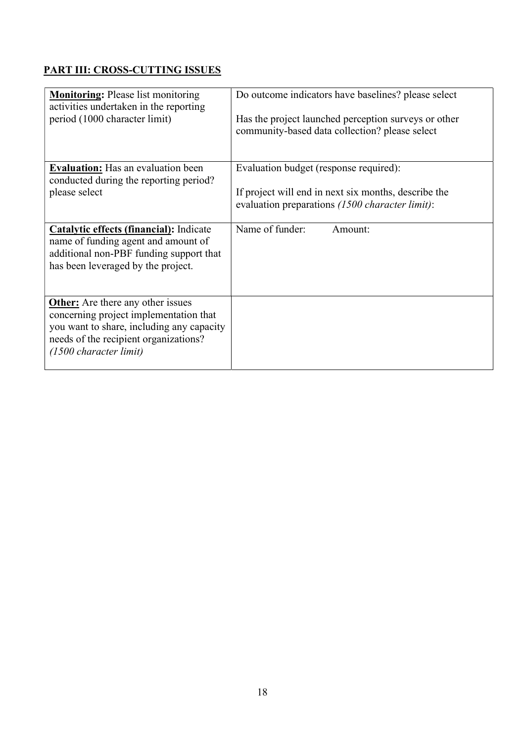# PART III: CROSS-CUTTING ISSUES

| <b>Monitoring:</b> Please list monitoring                                                                                                                                                                    | Do outcome indicators have baselines? please select  |
|--------------------------------------------------------------------------------------------------------------------------------------------------------------------------------------------------------------|------------------------------------------------------|
| activities undertaken in the reporting                                                                                                                                                                       | Has the project launched perception surveys or other |
| period (1000 character limit)                                                                                                                                                                                | community-based data collection? please select       |
| <b>Evaluation:</b> Has an evaluation been                                                                                                                                                                    | Evaluation budget (response required):               |
| conducted during the reporting period?                                                                                                                                                                       | If project will end in next six months, describe the |
| please select                                                                                                                                                                                                | evaluation preparations (1500 character limit):      |
| <b>Catalytic effects (financial):</b> Indicate<br>name of funding agent and amount of<br>additional non-PBF funding support that<br>has been leveraged by the project.                                       | Name of funder:<br>Amount:                           |
| <b>Other:</b> Are there any other issues<br>concerning project implementation that<br>you want to share, including any capacity<br>needs of the recipient organizations?<br>$(1500 \text{ character limit})$ |                                                      |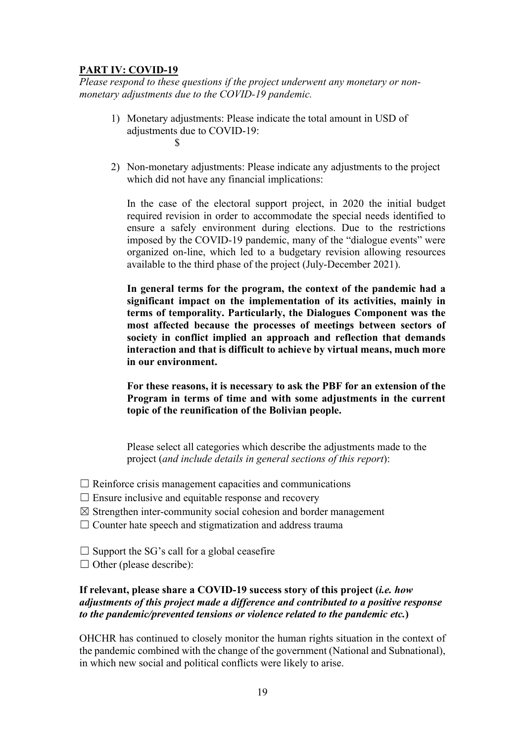# PART IV: COVID-19

Please respond to these questions if the project underwent any monetary or nonmonetary adjustments due to the COVID-19 pandemic.

- 1) Monetary adjustments: Please indicate the total amount in USD of adjustments due to COVID-19:  $\hat{\mathbf{S}}$
- 2) Non-monetary adjustments: Please indicate any adjustments to the project which did not have any financial implications:

In the case of the electoral support project, in 2020 the initial budget required revision in order to accommodate the special needs identified to ensure a safely environment during elections. Due to the restrictions imposed by the COVID-19 pandemic, many of the "dialogue events" were organized on-line, which led to a budgetary revision allowing resources available to the third phase of the project (July-December 2021).

In general terms for the program, the context of the pandemic had a significant impact on the implementation of its activities, mainly in terms of temporality. Particularly, the Dialogues Component was the most affected because the processes of meetings between sectors of society in conflict implied an approach and reflection that demands interaction and that is difficult to achieve by virtual means, much more in our environment.

For these reasons, it is necessary to ask the PBF for an extension of the Program in terms of time and with some adjustments in the current topic of the reunification of the Bolivian people.

Please select all categories which describe the adjustments made to the project (and include details in general sections of this report):

- $\Box$  Reinforce crisis management capacities and communications
- $\Box$  Ensure inclusive and equitable response and recovery
- $\boxtimes$  Strengthen inter-community social cohesion and border management
- $\Box$  Counter hate speech and stigmatization and address trauma
- $\Box$  Support the SG's call for a global ceasefire
- $\Box$  Other (please describe):

#### If relevant, please share a COVID-19 success story of this project *(i.e. how* adjustments of this project made a difference and contributed to a positive response to the pandemic/prevented tensions or violence related to the pandemic etc.)

OHCHR has continued to closely monitor the human rights situation in the context of the pandemic combined with the change of the government (National and Subnational), in which new social and political conflicts were likely to arise.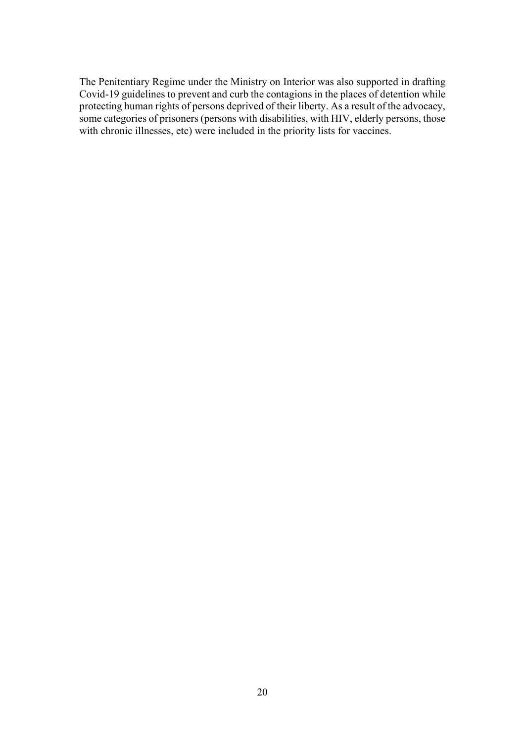The Penitentiary Regime under the Ministry on Interior was also supported in drafting Covid-19 guidelines to prevent and curb the contagions in the places of detention while protecting human rights of persons deprived of their liberty. As a result of the advocacy, some categories of prisoners (persons with disabilities, with HIV, elderly persons, those with chronic illnesses, etc) were included in the priority lists for vaccines.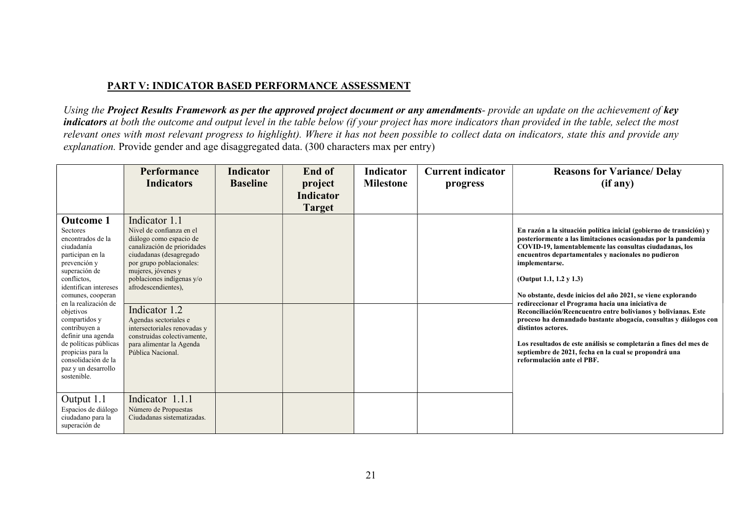#### PART V: INDICATOR BASED PERFORMANCE ASSESSMENT

Using the Project Results Framework as per the approved project document or any amendments- provide an update on the achievement of key indicators at both the outcome and output level in the table below (if your project has more indicators than provided in the table, select the most relevant ones with most relevant progress to highlight). Where it has not been possible to collect data on indicators, state this and provide any explanation. Provide gender and age disaggregated data. (300 characters max per entry)

|                                                                                                                                                                                                                                                                                                                                                                                                  | <b>Performance</b><br><b>Indicators</b>                                                                                                                                                                                                                                                                                                                                                        | <b>Indicator</b><br><b>Baseline</b> | End of<br>project<br>Indicator | Indicator<br><b>Milestone</b> | <b>Current indicator</b><br>progress | <b>Reasons for Variance/ Delay</b><br>(if any)                                                                                                                                                                                                                                                                                                                                                                                                                                                                                                                                                                                                                                                                                                   |
|--------------------------------------------------------------------------------------------------------------------------------------------------------------------------------------------------------------------------------------------------------------------------------------------------------------------------------------------------------------------------------------------------|------------------------------------------------------------------------------------------------------------------------------------------------------------------------------------------------------------------------------------------------------------------------------------------------------------------------------------------------------------------------------------------------|-------------------------------------|--------------------------------|-------------------------------|--------------------------------------|--------------------------------------------------------------------------------------------------------------------------------------------------------------------------------------------------------------------------------------------------------------------------------------------------------------------------------------------------------------------------------------------------------------------------------------------------------------------------------------------------------------------------------------------------------------------------------------------------------------------------------------------------------------------------------------------------------------------------------------------------|
| <b>Outcome 1</b><br><b>Sectores</b><br>encontrados de la<br>ciudadanía<br>participan en la<br>prevención y<br>superación de<br>conflictos,<br>identifican intereses<br>comunes, cooperan<br>en la realización de<br>objetivos<br>compartidos y<br>contribuyen a<br>definir una agenda<br>de políticas públicas<br>propicias para la<br>consolidación de la<br>paz y un desarrollo<br>sostenible. | Indicator 1.1<br>Nivel de confianza en el<br>diálogo como espacio de<br>canalización de prioridades<br>ciudadanas (desagregado<br>por grupo poblacionales:<br>mujeres, jóvenes y<br>poblaciones indígenas y/o<br>afrodescendientes),<br>Indicator 1.2<br>Agendas sectoriales e<br>intersectoriales renovadas y<br>construidas colectivamente.<br>para alimentar la Agenda<br>Pública Nacional. |                                     | <b>Target</b>                  |                               |                                      | En razón a la situación política inicial (gobierno de transición) y<br>posteriormente a las limitaciones ocasionadas por la pandemia<br>COVID-19, lamentablemente las consultas ciudadanas, los<br>encuentros departamentales y nacionales no pudieron<br>implementarse.<br>(Output 1.1, 1.2 y 1.3)<br>No obstante, desde inicios del año 2021, se viene explorando<br>redireccionar el Programa hacia una iniciativa de<br>Reconciliación/Reencuentro entre bolivianos y bolivianas. Este<br>proceso ha demandado bastante abogacía, consultas y diálogos con<br>distintos actores.<br>Los resultados de este análisis se completarán a fines del mes de<br>septiembre de 2021, fecha en la cual se propondrá una<br>reformulación ante el PBF. |
| Output 1.1<br>Espacios de diálogo<br>ciudadano para la<br>superación de                                                                                                                                                                                                                                                                                                                          | Indicator 1.1.1<br>Número de Propuestas<br>Ciudadanas sistematizadas.                                                                                                                                                                                                                                                                                                                          |                                     |                                |                               |                                      |                                                                                                                                                                                                                                                                                                                                                                                                                                                                                                                                                                                                                                                                                                                                                  |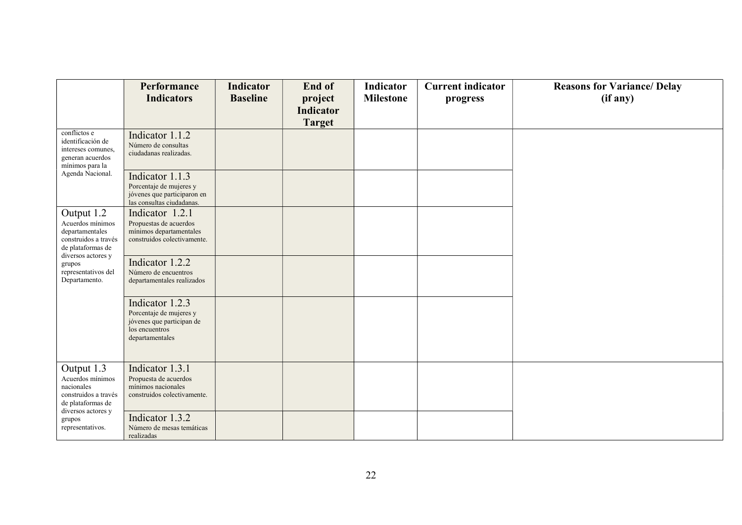|                                                                                                                      | Performance<br><b>Indicators</b>                                                                             | <b>Indicator</b><br><b>Baseline</b> | End of<br>project<br><b>Indicator</b> | <b>Indicator</b><br><b>Milestone</b> | <b>Current indicator</b><br>progress | <b>Reasons for Variance/ Delay</b><br>(if any) |
|----------------------------------------------------------------------------------------------------------------------|--------------------------------------------------------------------------------------------------------------|-------------------------------------|---------------------------------------|--------------------------------------|--------------------------------------|------------------------------------------------|
|                                                                                                                      |                                                                                                              |                                     | <b>Target</b>                         |                                      |                                      |                                                |
| conflictos e<br>identificación de<br>intereses comunes.<br>generan acuerdos<br>mínimos para la                       | Indicator 1.1.2<br>Número de consultas<br>ciudadanas realizadas.                                             |                                     |                                       |                                      |                                      |                                                |
| Agenda Nacional.                                                                                                     | Indicator 1.1.3<br>Porcentaje de mujeres y<br>jóvenes que participaron en<br>las consultas ciudadanas.       |                                     |                                       |                                      |                                      |                                                |
| Output 1.2<br>Acuerdos mínimos<br>departamentales<br>construidos a través<br>de plataformas de<br>diversos actores y | Indicator 1.2.1<br>Propuestas de acuerdos<br>mínimos departamentales<br>construidos colectivamente.          |                                     |                                       |                                      |                                      |                                                |
| grupos<br>representativos del<br>Departamento.                                                                       | Indicator 1.2.2<br>Número de encuentros<br>departamentales realizados                                        |                                     |                                       |                                      |                                      |                                                |
|                                                                                                                      | Indicator 1.2.3<br>Porcentaje de mujeres y<br>jóvenes que participan de<br>los encuentros<br>departamentales |                                     |                                       |                                      |                                      |                                                |
| Output 1.3<br>Acuerdos mínimos<br>nacionales<br>construidos a través<br>de plataformas de                            | Indicator 1.3.1<br>Propuesta de acuerdos<br>mínimos nacionales<br>construidos colectivamente.                |                                     |                                       |                                      |                                      |                                                |
| diversos actores y<br>grupos<br>representativos.                                                                     | Indicator 1.3.2<br>Número de mesas temáticas<br>realizadas                                                   |                                     |                                       |                                      |                                      |                                                |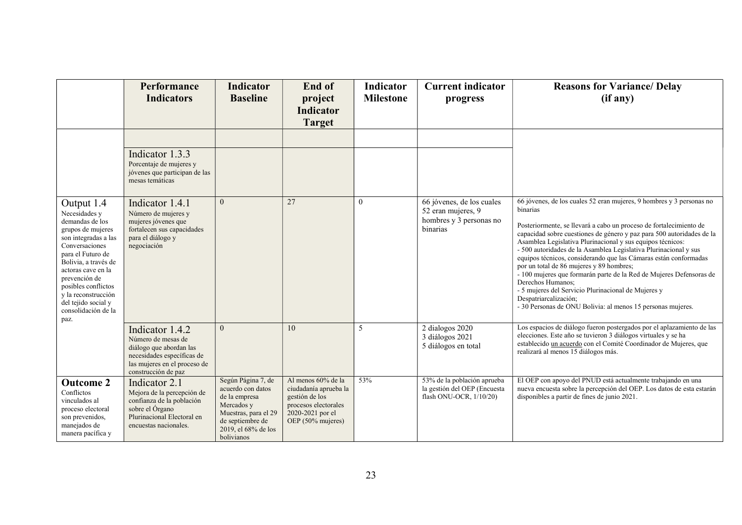|                                                                                                                                                                                                                                                                                                       | Performance<br><b>Indicators</b>                                                                                                                      | <b>Indicator</b><br><b>Baseline</b>                                                                                                                     | End of<br>project<br><b>Indicator</b><br><b>Target</b>                                                                         | <b>Indicator</b><br><b>Milestone</b> | <b>Current indicator</b><br>progress                                                   | <b>Reasons for Variance/ Delay</b><br>(if any)                                                                                                                                                                                                                                                                                                                                                                                                                                                                                                                                                                                                                                                                               |
|-------------------------------------------------------------------------------------------------------------------------------------------------------------------------------------------------------------------------------------------------------------------------------------------------------|-------------------------------------------------------------------------------------------------------------------------------------------------------|---------------------------------------------------------------------------------------------------------------------------------------------------------|--------------------------------------------------------------------------------------------------------------------------------|--------------------------------------|----------------------------------------------------------------------------------------|------------------------------------------------------------------------------------------------------------------------------------------------------------------------------------------------------------------------------------------------------------------------------------------------------------------------------------------------------------------------------------------------------------------------------------------------------------------------------------------------------------------------------------------------------------------------------------------------------------------------------------------------------------------------------------------------------------------------------|
|                                                                                                                                                                                                                                                                                                       | Indicator 1.3.3<br>Porcentaje de mujeres y<br>jóvenes que participan de las<br>mesas temáticas                                                        |                                                                                                                                                         |                                                                                                                                |                                      |                                                                                        |                                                                                                                                                                                                                                                                                                                                                                                                                                                                                                                                                                                                                                                                                                                              |
| Output 1.4<br>Necesidades y<br>demandas de los<br>grupos de mujeres<br>son integradas a las<br>Conversaciones<br>para el Futuro de<br>Bolivia, a través de<br>actoras cave en la<br>prevención de<br>posibles conflictos<br>y la reconstrucción<br>del tejido social y<br>consolidación de la<br>paz. | Indicator 1.4.1<br>Número de mujeres y<br>mujeres jóvenes que<br>fortalecen sus capacidades<br>para el diálogo y<br>negociación                       | $\overline{0}$                                                                                                                                          | 27                                                                                                                             | $\theta$                             | 66 jóvenes, de los cuales<br>52 eran mujeres, 9<br>hombres y 3 personas no<br>binarias | 66 jóvenes, de los cuales 52 eran mujeres, 9 hombres y 3 personas no<br>binarias<br>Posteriormente, se llevará a cabo un proceso de fortalecimiento de<br>capacidad sobre cuestiones de género y paz para 500 autoridades de la<br>Asamblea Legislativa Plurinacional y sus equipos técnicos:<br>- 500 autoridades de la Asamblea Legislativa Plurinacional y sus<br>equipos técnicos, considerando que las Cámaras están conformadas<br>por un total de 86 mujeres y 89 hombres;<br>- 100 mujeres que formarán parte de la Red de Mujeres Defensoras de<br>Derechos Humanos:<br>- 5 mujeres del Servicio Plurinacional de Mujeres y<br>Despatriarcalización;<br>- 30 Personas de ONU Bolivia: al menos 15 personas mujeres. |
|                                                                                                                                                                                                                                                                                                       | Indicator 1.4.2<br>Número de mesas de<br>diálogo que abordan las<br>necesidades específicas de<br>las mujeres en el proceso de<br>construcción de paz | $\Omega$                                                                                                                                                | 10                                                                                                                             | 5                                    | 2 dialogos 2020<br>3 diálogos 2021<br>5 diálogos en total                              | Los espacios de diálogo fueron postergados por el aplazamiento de las<br>elecciones. Este año se tuvieron 3 diálogos virtuales y se ha<br>establecido un acuerdo con el Comité Coordinador de Mujeres, que<br>realizará al menos 15 diálogos más.                                                                                                                                                                                                                                                                                                                                                                                                                                                                            |
| <b>Outcome 2</b><br>Conflictos<br>vinculados al<br>proceso electoral<br>son prevenidos,<br>manejados de<br>manera pacífica y                                                                                                                                                                          | Indicator 2.1<br>Mejora de la percepción de<br>confianza de la población<br>sobre el Órgano<br>Plurinacional Electoral en<br>encuestas nacionales.    | Según Página 7, de<br>acuerdo con datos<br>de la empresa<br>Mercados y<br>Muestras, para el 29<br>de septiembre de<br>2019, el 68% de los<br>bolivianos | Al menos 60% de la<br>ciudadanía aprueba la<br>gestión de los<br>procesos electorales<br>2020-2021 por el<br>OEP (50% mujeres) | 53%                                  | 53% de la población aprueba<br>la gestión del OEP (Encuesta<br>flash ONU-OCR, 1/10/20) | El OEP con apoyo del PNUD está actualmente trabajando en una<br>nueva encuesta sobre la percepción del OEP. Los datos de esta estarán<br>disponibles a partir de fines de junio 2021.                                                                                                                                                                                                                                                                                                                                                                                                                                                                                                                                        |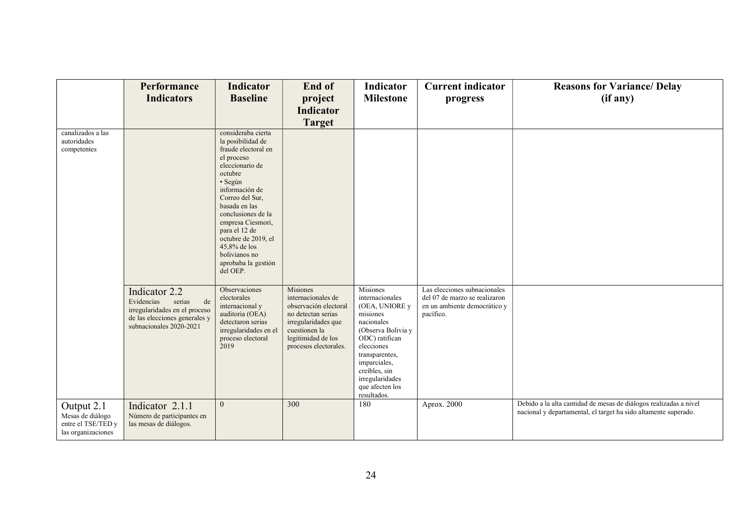|                                                                            | Performance<br><b>Indicators</b>                                                                                                         | <b>Indicator</b><br><b>Baseline</b>                                                                                                                                                                                                                                                                                                | End of                                                                                                                                                               | <b>Indicator</b><br><b>Milestone</b>                                                                                                                                                                                                  | <b>Current indicator</b>                                                                                   | <b>Reasons for Variance/ Delay</b>                                                                                                   |
|----------------------------------------------------------------------------|------------------------------------------------------------------------------------------------------------------------------------------|------------------------------------------------------------------------------------------------------------------------------------------------------------------------------------------------------------------------------------------------------------------------------------------------------------------------------------|----------------------------------------------------------------------------------------------------------------------------------------------------------------------|---------------------------------------------------------------------------------------------------------------------------------------------------------------------------------------------------------------------------------------|------------------------------------------------------------------------------------------------------------|--------------------------------------------------------------------------------------------------------------------------------------|
|                                                                            |                                                                                                                                          |                                                                                                                                                                                                                                                                                                                                    | project<br><b>Indicator</b>                                                                                                                                          |                                                                                                                                                                                                                                       | progress                                                                                                   | (if any)                                                                                                                             |
|                                                                            |                                                                                                                                          |                                                                                                                                                                                                                                                                                                                                    | <b>Target</b>                                                                                                                                                        |                                                                                                                                                                                                                                       |                                                                                                            |                                                                                                                                      |
| canalizados a las<br>autoridades<br>competentes                            |                                                                                                                                          | consideraba cierta<br>la posibilidad de<br>fraude electoral en<br>el proceso<br>eleccionario de<br>octubre<br>· Según<br>información de<br>Correo del Sur,<br>basada en las<br>conclusiones de la<br>empresa Ciesmori,<br>para el 12 de<br>octubre de 2019, el<br>45.8% de los<br>bolivianos no<br>aprobaba la gestión<br>del OEP. |                                                                                                                                                                      |                                                                                                                                                                                                                                       |                                                                                                            |                                                                                                                                      |
|                                                                            | Indicator 2.2<br>Evidencias<br>serias<br>de<br>irregularidades en el proceso<br>de las elecciones generales y<br>subnacionales 2020-2021 | Observaciones<br>electorales<br>internacional y<br>auditoria (OEA)<br>detectaron serias<br>irregularidades en el<br>proceso electoral<br>2019                                                                                                                                                                                      | Misiones<br>internacionales de<br>observación electoral<br>no detectan serias<br>irregularidades que<br>cuestionen la<br>legitimidad de los<br>procesos electorales. | Misiones<br>internacionales<br>(OEA, UNIORE y<br>misiones<br>nacionales<br>(Observa Bolivia y<br>ODC) ratifican<br>elecciones<br>transparentes,<br>imparciales,<br>creíbles, sin<br>irregularidades<br>que afecten los<br>resultados. | Las elecciones subnacionales<br>del 07 de marzo se realizaron<br>en un ambiente democrático y<br>pacífico. |                                                                                                                                      |
| Output 2.1<br>Mesas de diálogo<br>entre el TSE/TED y<br>las organizaciones | Indicator 2.1.1<br>Número de participantes en<br>las mesas de diálogos.                                                                  | $\theta$                                                                                                                                                                                                                                                                                                                           | 300                                                                                                                                                                  | 180                                                                                                                                                                                                                                   | Aprox. 2000                                                                                                | Debido a la alta cantidad de mesas de diálogos realizadas a nivel<br>nacional y departamental, el target ha sido altamente superado. |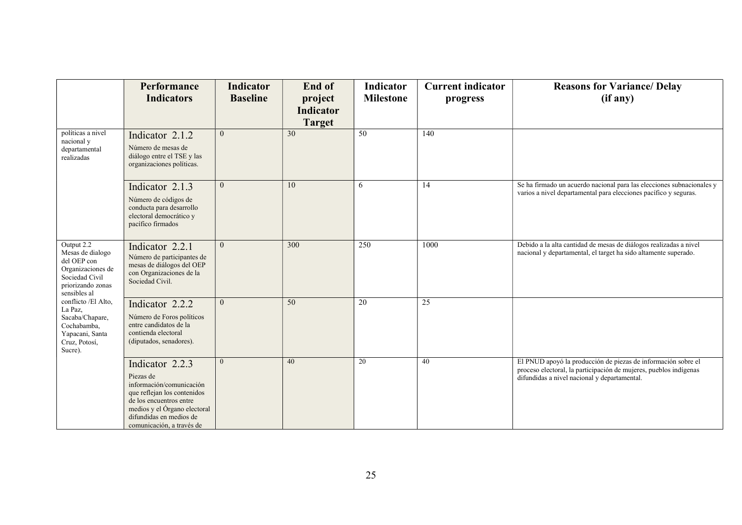|                                                                                                                           | Performance<br><b>Indicators</b>                                                                                                                                                                           | <b>Indicator</b><br><b>Baseline</b> | End of<br>project<br><b>Indicator</b><br><b>Target</b> | <b>Indicator</b><br><b>Milestone</b> | <b>Current indicator</b><br>progress | <b>Reasons for Variance/ Delay</b><br>(if any)                                                                                                                                     |
|---------------------------------------------------------------------------------------------------------------------------|------------------------------------------------------------------------------------------------------------------------------------------------------------------------------------------------------------|-------------------------------------|--------------------------------------------------------|--------------------------------------|--------------------------------------|------------------------------------------------------------------------------------------------------------------------------------------------------------------------------------|
| políticas a nivel<br>nacional y<br>departamental<br>realizadas                                                            | Indicator 2.1.2<br>Número de mesas de<br>diálogo entre el TSE y las<br>organizaciones políticas.                                                                                                           | $\theta$                            | 30                                                     | 50                                   | 140                                  |                                                                                                                                                                                    |
|                                                                                                                           | Indicator 2.1.3<br>Número de códigos de<br>conducta para desarrollo<br>electoral democrático y<br>pacífico firmados                                                                                        | $\theta$                            | 10                                                     | 6                                    | 14                                   | Se ha firmado un acuerdo nacional para las elecciones subnacionales y<br>varios a nivel departamental para elecciones pacífico y seguras.                                          |
| Output 2.2<br>Mesas de dialogo<br>del OEP con<br>Organizaciones de<br>Sociedad Civil<br>priorizando zonas<br>sensibles al | Indicator 2.2.1<br>Número de participantes de<br>mesas de diálogos del OEP<br>con Organizaciones de la<br>Sociedad Civil.                                                                                  | $\theta$                            | 300                                                    | 250                                  | 1000                                 | Debido a la alta cantidad de mesas de diálogos realizadas a nivel<br>nacional y departamental, el target ha sido altamente superado.                                               |
| conflicto /El Alto,<br>La Paz,<br>Sacaba/Chapare,<br>Cochabamba,<br>Yapacani, Santa<br>Cruz, Potosí,<br>Sucre).           | Indicator 2.2.2<br>Número de Foros políticos<br>entre candidatos de la<br>contienda electoral<br>(diputados, senadores).                                                                                   | $\theta$                            | 50                                                     | 20                                   | 25                                   |                                                                                                                                                                                    |
|                                                                                                                           | Indicator 2.2.3<br>Piezas de<br>información/comunicación<br>que reflejan los contenidos<br>de los encuentros entre<br>medios y el Órgano electoral<br>difundidas en medios de<br>comunicación, a través de | $\mathbf{0}$                        | 40                                                     | 20                                   | 40                                   | El PNUD apoyó la producción de piezas de información sobre el<br>proceso electoral, la participación de mujeres, pueblos indígenas<br>difundidas a nivel nacional y departamental. |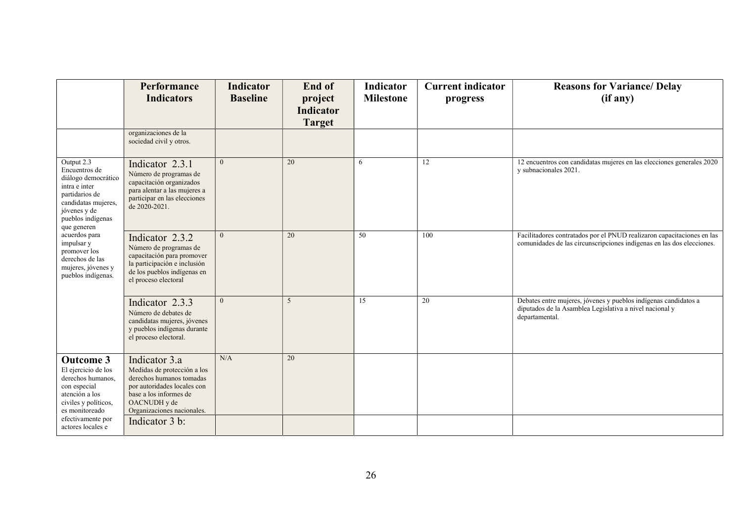|                                                                                                                                                                  | Performance<br><b>Indicators</b>                                                                                                                                                | <b>Indicator</b><br><b>Baseline</b> | End of<br>project<br><b>Indicator</b><br><b>Target</b> | <b>Indicator</b><br><b>Milestone</b> | <b>Current indicator</b><br>progress | <b>Reasons for Variance/ Delay</b><br>(if any)                                                                                                  |
|------------------------------------------------------------------------------------------------------------------------------------------------------------------|---------------------------------------------------------------------------------------------------------------------------------------------------------------------------------|-------------------------------------|--------------------------------------------------------|--------------------------------------|--------------------------------------|-------------------------------------------------------------------------------------------------------------------------------------------------|
|                                                                                                                                                                  | organizaciones de la<br>sociedad civil y otros.                                                                                                                                 |                                     |                                                        |                                      |                                      |                                                                                                                                                 |
| Output 2.3<br>Encuentros de<br>diálogo democrático<br>intra e inter<br>partidarios de<br>candidatas mujeres,<br>jóvenes y de<br>pueblos indígenas<br>que generen | Indicator 2.3.1<br>Número de programas de<br>capacitación organizados<br>para alentar a las mujeres a<br>participar en las elecciones<br>de 2020-2021.                          | $\theta$                            | $\overline{20}$                                        | 6                                    | 12                                   | 12 encuentros con candidatas mujeres en las elecciones generales 2020<br>y subnacionales 2021.                                                  |
| acuerdos para<br>impulsar y<br>promover los<br>derechos de las<br>mujeres, jóvenes y<br>pueblos indígenas.                                                       | Indicator 2.3.2<br>Número de programas de<br>capacitación para promover<br>la participación e inclusión<br>de los pueblos indígenas en<br>el proceso electoral                  | $\theta$                            | 20                                                     | 50                                   | 100                                  | Facilitadores contratados por el PNUD realizaron capacitaciones en las<br>comunidades de las circunscripciones indígenas en las dos elecciones. |
|                                                                                                                                                                  | Indicator 2.3.3<br>Número de debates de<br>candidatas mujeres, jóvenes<br>y pueblos indígenas durante<br>el proceso electoral.                                                  | $\theta$                            | $\overline{5}$                                         | 15                                   | 20                                   | Debates entre mujeres, jóvenes y pueblos indígenas candidatos a<br>diputados de la Asamblea Legislativa a nivel nacional y<br>departamental.    |
| <b>Outcome 3</b><br>El ejercicio de los<br>derechos humanos,<br>con especial<br>atención a los<br>civiles y políticos,<br>es monitoreado                         | Indicator 3.a<br>Medidas de protección a los<br>derechos humanos tomadas<br>por autoridades locales con<br>base a los informes de<br>OACNUDH y de<br>Organizaciones nacionales. | N/A                                 | 20                                                     |                                      |                                      |                                                                                                                                                 |
| efectivamente por<br>actores locales e                                                                                                                           | Indicator 3 b:                                                                                                                                                                  |                                     |                                                        |                                      |                                      |                                                                                                                                                 |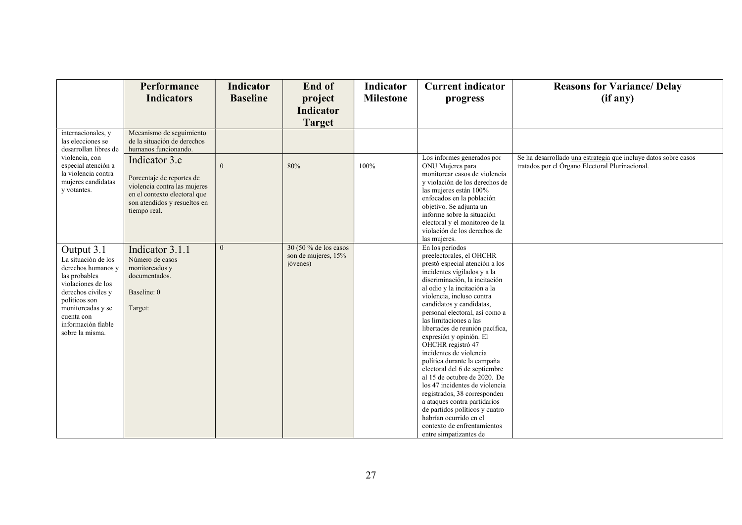|                                                                                                                                                                                                                   | Performance                                                                                                                                                | <b>Indicator</b> | End of                                                    | <b>Indicator</b> | <b>Current indicator</b>                                                                                                                                                                                                                                                                                                                                                                                                                                                                                                                                                                                                                                                                                                                | <b>Reasons for Variance/ Delay</b>                                                                                 |
|-------------------------------------------------------------------------------------------------------------------------------------------------------------------------------------------------------------------|------------------------------------------------------------------------------------------------------------------------------------------------------------|------------------|-----------------------------------------------------------|------------------|-----------------------------------------------------------------------------------------------------------------------------------------------------------------------------------------------------------------------------------------------------------------------------------------------------------------------------------------------------------------------------------------------------------------------------------------------------------------------------------------------------------------------------------------------------------------------------------------------------------------------------------------------------------------------------------------------------------------------------------------|--------------------------------------------------------------------------------------------------------------------|
|                                                                                                                                                                                                                   | <b>Indicators</b>                                                                                                                                          | <b>Baseline</b>  | project                                                   | <b>Milestone</b> | progress                                                                                                                                                                                                                                                                                                                                                                                                                                                                                                                                                                                                                                                                                                                                | (if any)                                                                                                           |
|                                                                                                                                                                                                                   |                                                                                                                                                            |                  | Indicator                                                 |                  |                                                                                                                                                                                                                                                                                                                                                                                                                                                                                                                                                                                                                                                                                                                                         |                                                                                                                    |
|                                                                                                                                                                                                                   |                                                                                                                                                            |                  | <b>Target</b>                                             |                  |                                                                                                                                                                                                                                                                                                                                                                                                                                                                                                                                                                                                                                                                                                                                         |                                                                                                                    |
| internacionales, y<br>las elecciones se<br>desarrollan libres de                                                                                                                                                  | Mecanismo de seguimiento<br>de la situación de derechos<br>humanos funcionando.                                                                            |                  |                                                           |                  |                                                                                                                                                                                                                                                                                                                                                                                                                                                                                                                                                                                                                                                                                                                                         |                                                                                                                    |
| violencia, con<br>especial atención a<br>la violencia contra<br>mujeres candidatas<br>y votantes.                                                                                                                 | Indicator 3.c<br>Porcentaje de reportes de<br>violencia contra las mujeres<br>en el contexto electoral que<br>son atendidos y resueltos en<br>tiempo real. | $\theta$         | 80%                                                       | 100%             | Los informes generados por<br>ONU Mujeres para<br>monitorear casos de violencia<br>y violación de los derechos de<br>las mujeres están 100%<br>enfocados en la población<br>objetivo. Se adjunta un<br>informe sobre la situación<br>electoral y el monitoreo de la<br>violación de los derechos de<br>las mujeres.                                                                                                                                                                                                                                                                                                                                                                                                                     | Se ha desarrollado una estrategia que incluye datos sobre casos<br>tratados por el Órgano Electoral Plurinacional. |
| Output 3.1<br>La situación de los<br>derechos humanos y<br>las probables<br>violaciones de los<br>derechos civiles y<br>políticos son<br>monitoreadas y se<br>cuenta con<br>información fiable<br>sobre la misma. | Indicator 3.1.1<br>Número de casos<br>monitoreados y<br>documentados.<br>Baseline: 0<br>Target:                                                            | $\mathbf{0}$     | $30(50\%$ de los casos<br>son de mujeres, 15%<br>jóvenes) |                  | En los períodos<br>preelectorales, el OHCHR<br>prestó especial atención a los<br>incidentes vigilados y a la<br>discriminación, la incitación<br>al odio y la incitación a la<br>violencia, incluso contra<br>candidatos y candidatas,<br>personal electoral, así como a<br>las limitaciones a las<br>libertades de reunión pacífica,<br>expresión y opinión. El<br>OHCHR registró 47<br>incidentes de violencia<br>política durante la campaña<br>electoral del 6 de septiembre<br>al 15 de octubre de 2020. De<br>los 47 incidentes de violencia<br>registrados, 38 corresponden<br>a ataques contra partidarios<br>de partidos políticos y cuatro<br>habrían ocurrido en el<br>contexto de enfrentamientos<br>entre simpatizantes de |                                                                                                                    |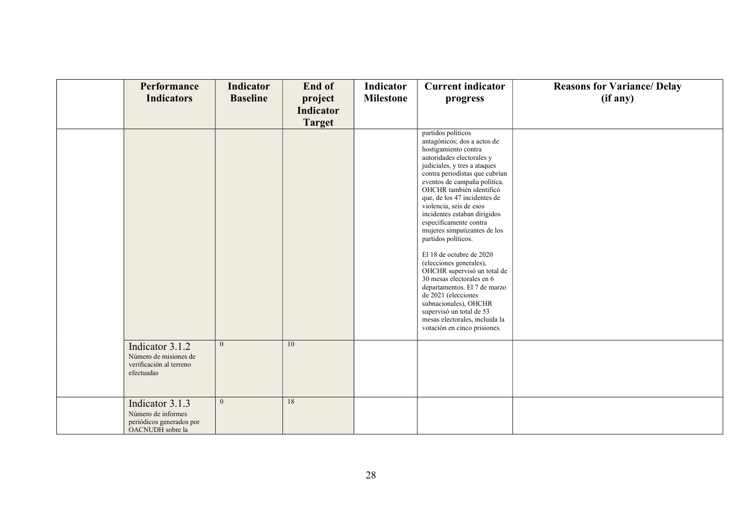| Performance<br><b>Indicators</b>                                                      | Indicator<br><b>Baseline</b> | End of<br>project<br>Indicator<br><b>Target</b> | Indicator<br><b>Milestone</b> | <b>Current indicator</b><br>progress                                                                                                                                                                                                                                                                                                                                                                                                                                                                                                                                                                                                                                                                              | <b>Reasons for Variance/ Delay</b><br>(if any) |
|---------------------------------------------------------------------------------------|------------------------------|-------------------------------------------------|-------------------------------|-------------------------------------------------------------------------------------------------------------------------------------------------------------------------------------------------------------------------------------------------------------------------------------------------------------------------------------------------------------------------------------------------------------------------------------------------------------------------------------------------------------------------------------------------------------------------------------------------------------------------------------------------------------------------------------------------------------------|------------------------------------------------|
|                                                                                       |                              |                                                 |                               | partidos políticos<br>antagónicos; dos a actos de<br>hostigamiento contra<br>autoridades electorales y<br>judiciales, y tres a ataques<br>contra periodistas que cubrían<br>eventos de campaña política.<br>OHCHR también identificó<br>que, de los 47 incidentes de<br>violencia, seis de esos<br>incidentes estaban dirigidos<br>específicamente contra<br>mujeres simpatizantes de los<br>partidos políticos.<br>El 18 de octubre de 2020<br>(elecciones generales),<br>OHCHR supervisó un total de<br>30 mesas electorales en 6<br>departamentos. El 7 de marzo<br>de 2021 (elecciones<br>subnacionales), OHCHR<br>supervisó un total de 53<br>mesas electorales, incluida la<br>votación en cinco prisiones. |                                                |
| Indicator 3.1.2<br>Número de misiones de<br>verificación al terreno<br>efectuadas     | $\overline{0}$               | 10                                              |                               |                                                                                                                                                                                                                                                                                                                                                                                                                                                                                                                                                                                                                                                                                                                   |                                                |
| Indicator 3.1.3<br>Número de informes<br>periódicos generados por<br>OACNUDH sobre la | $\mathbf{0}$                 | 18                                              |                               |                                                                                                                                                                                                                                                                                                                                                                                                                                                                                                                                                                                                                                                                                                                   |                                                |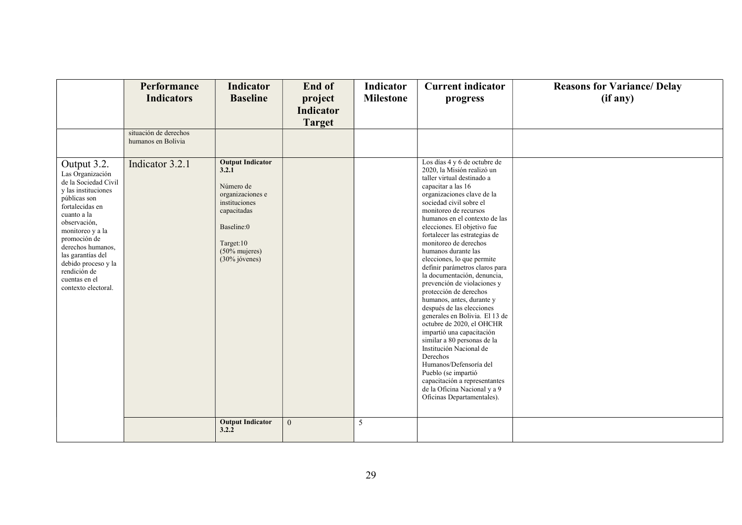|                                                                                                                                                                                                                                                                                                               | Performance<br><b>Indicators</b>      | <b>Indicator</b><br><b>Baseline</b>                                                                                                                                  | End of<br>project<br>Indicator | <b>Indicator</b><br><b>Milestone</b> | <b>Current indicator</b><br>progress                                                                                                                                                                                                                                                                                                                                                                                                                                                                                                                                                                                                                                                                                                                                                                                                                                                  | <b>Reasons for Variance/ Delay</b><br>(if any) |
|---------------------------------------------------------------------------------------------------------------------------------------------------------------------------------------------------------------------------------------------------------------------------------------------------------------|---------------------------------------|----------------------------------------------------------------------------------------------------------------------------------------------------------------------|--------------------------------|--------------------------------------|---------------------------------------------------------------------------------------------------------------------------------------------------------------------------------------------------------------------------------------------------------------------------------------------------------------------------------------------------------------------------------------------------------------------------------------------------------------------------------------------------------------------------------------------------------------------------------------------------------------------------------------------------------------------------------------------------------------------------------------------------------------------------------------------------------------------------------------------------------------------------------------|------------------------------------------------|
|                                                                                                                                                                                                                                                                                                               | situación de derechos                 |                                                                                                                                                                      | <b>Target</b>                  |                                      |                                                                                                                                                                                                                                                                                                                                                                                                                                                                                                                                                                                                                                                                                                                                                                                                                                                                                       |                                                |
| Output 3.2.<br>Las Organización<br>de la Sociedad Civil<br>y las instituciones<br>públicas son<br>fortalecidas en<br>cuanto a la<br>observación,<br>monitoreo y a la<br>promoción de<br>derechos humanos,<br>las garantías del<br>debido proceso y la<br>rendición de<br>cuentas en el<br>contexto electoral. | humanos en Bolivia<br>Indicator 3.2.1 | <b>Output Indicator</b><br>3.2.1<br>Número de<br>organizaciones e<br>instituciones<br>capacitadas<br>Baseline:0<br>Target:10<br>$(50\%$ mujeres)<br>$(30\%$ jóvenes) |                                |                                      | Los días 4 y 6 de octubre de<br>2020, la Misión realizó un<br>taller virtual destinado a<br>capacitar a las 16<br>organizaciones clave de la<br>sociedad civil sobre el<br>monitoreo de recursos<br>humanos en el contexto de las<br>elecciones. El objetivo fue<br>fortalecer las estrategias de<br>monitoreo de derechos<br>humanos durante las<br>elecciones, lo que permite<br>definir parámetros claros para<br>la documentación, denuncia,<br>prevención de violaciones y<br>protección de derechos<br>humanos, antes, durante y<br>después de las elecciones<br>generales en Bolivia. El 13 de<br>octubre de 2020, el OHCHR<br>impartió una capacitación<br>similar a 80 personas de la<br>Institución Nacional de<br>Derechos<br>Humanos/Defensoría del<br>Pueblo (se impartió<br>capacitación a representantes<br>de la Oficina Nacional y a 9<br>Oficinas Departamentales). |                                                |
|                                                                                                                                                                                                                                                                                                               |                                       | <b>Output Indicator</b><br>3.2.2                                                                                                                                     | $\overline{0}$                 | 5                                    |                                                                                                                                                                                                                                                                                                                                                                                                                                                                                                                                                                                                                                                                                                                                                                                                                                                                                       |                                                |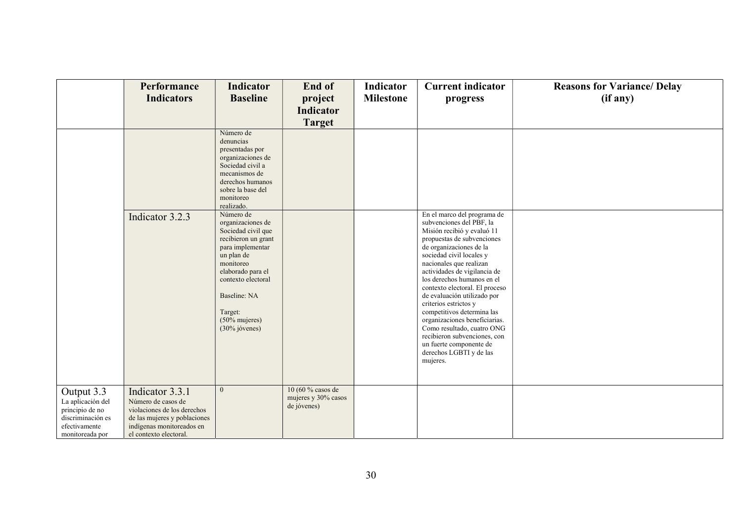|                                                                                                             | Performance<br><b>Indicators</b>                                                                                                                            | <b>Indicator</b><br><b>Baseline</b>                                                                                                                                                                                                | End of<br>project<br><b>Indicator</b><br><b>Target</b>  | <b>Indicator</b><br><b>Milestone</b> | <b>Current indicator</b><br>progress                                                                                                                                                                                                                                                                                                                                                                                                                                                                                                                         | <b>Reasons for Variance/ Delay</b><br>(if any) |
|-------------------------------------------------------------------------------------------------------------|-------------------------------------------------------------------------------------------------------------------------------------------------------------|------------------------------------------------------------------------------------------------------------------------------------------------------------------------------------------------------------------------------------|---------------------------------------------------------|--------------------------------------|--------------------------------------------------------------------------------------------------------------------------------------------------------------------------------------------------------------------------------------------------------------------------------------------------------------------------------------------------------------------------------------------------------------------------------------------------------------------------------------------------------------------------------------------------------------|------------------------------------------------|
|                                                                                                             |                                                                                                                                                             | Número de<br>denuncias<br>presentadas por<br>organizaciones de<br>Sociedad civil a<br>mecanismos de<br>derechos humanos<br>sobre la base del<br>monitoreo<br>realizado.                                                            |                                                         |                                      |                                                                                                                                                                                                                                                                                                                                                                                                                                                                                                                                                              |                                                |
|                                                                                                             | Indicator 3.2.3                                                                                                                                             | Número de<br>organizaciones de<br>Sociedad civil que<br>recibieron un grant<br>para implementar<br>un plan de<br>monitoreo<br>elaborado para el<br>contexto electoral<br>Baseline: NA<br>Target:<br>(50% mujeres)<br>(30% jóvenes) |                                                         |                                      | En el marco del programa de<br>subvenciones del PBF, la<br>Misión recibió y evaluó 11<br>propuestas de subvenciones<br>de organizaciones de la<br>sociedad civil locales y<br>nacionales que realizan<br>actividades de vigilancia de<br>los derechos humanos en el<br>contexto electoral. El proceso<br>de evaluación utilizado por<br>criterios estrictos y<br>competitivos determina las<br>organizaciones beneficiarias.<br>Como resultado, cuatro ONG<br>recibieron subvenciones, con<br>un fuerte componente de<br>derechos LGBTI y de las<br>mujeres. |                                                |
| Output 3.3<br>La aplicación del<br>principio de no<br>discriminación es<br>efectivamente<br>monitoreada por | Indicator 3.3.1<br>Número de casos de<br>violaciones de los derechos<br>de las mujeres y poblaciones<br>indígenas monitoreados en<br>el contexto electoral. | $\mathbf{0}$                                                                                                                                                                                                                       | 10 (60 % casos de<br>mujeres y 30% casos<br>de jóvenes) |                                      |                                                                                                                                                                                                                                                                                                                                                                                                                                                                                                                                                              |                                                |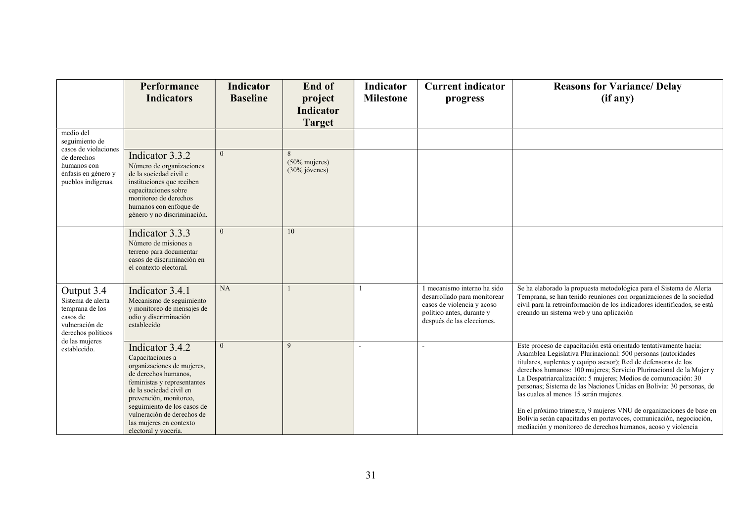|                                                                                                                                          | Performance<br><b>Indicators</b>                                                                                                                                                                                                                                                              | <b>Indicator</b><br><b>Baseline</b> | End of<br>project<br><b>Indicator</b><br><b>Target</b> | <b>Indicator</b><br><b>Milestone</b> | <b>Current indicator</b><br>progress                                                                                                                 | <b>Reasons for Variance/ Delay</b><br>(if any)                                                                                                                                                                                                                                                                                                                                                                                                                                                                                                                                                                                                                                |
|------------------------------------------------------------------------------------------------------------------------------------------|-----------------------------------------------------------------------------------------------------------------------------------------------------------------------------------------------------------------------------------------------------------------------------------------------|-------------------------------------|--------------------------------------------------------|--------------------------------------|------------------------------------------------------------------------------------------------------------------------------------------------------|-------------------------------------------------------------------------------------------------------------------------------------------------------------------------------------------------------------------------------------------------------------------------------------------------------------------------------------------------------------------------------------------------------------------------------------------------------------------------------------------------------------------------------------------------------------------------------------------------------------------------------------------------------------------------------|
| medio del<br>seguimiento de<br>casos de violaciones<br>de derechos<br>humanos con<br>énfasis en género y<br>pueblos indígenas.           | Indicator 3.3.2<br>Número de organizaciones<br>de la sociedad civil e<br>instituciones que reciben<br>capacitaciones sobre<br>monitoreo de derechos<br>humanos con enfoque de<br>género y no discriminación.                                                                                  | $\theta$                            | 8<br>$(50\%$ mujeres)<br>$(30\%$ jóvenes)              |                                      |                                                                                                                                                      |                                                                                                                                                                                                                                                                                                                                                                                                                                                                                                                                                                                                                                                                               |
|                                                                                                                                          | Indicator 3.3.3<br>Número de misiones a<br>terreno para documentar<br>casos de discriminación en<br>el contexto electoral.                                                                                                                                                                    | $\mathbf{0}$                        | 10                                                     |                                      |                                                                                                                                                      |                                                                                                                                                                                                                                                                                                                                                                                                                                                                                                                                                                                                                                                                               |
| Output 3.4<br>Sistema de alerta<br>temprana de los<br>casos de<br>vulneración de<br>derechos políticos<br>de las mujeres<br>establecido. | Indicator 3.4.1<br>Mecanismo de seguimiento<br>y monitoreo de mensajes de<br>odio y discriminación<br>establecido                                                                                                                                                                             | <b>NA</b>                           | 1                                                      | -1                                   | 1 mecanismo interno ha sido<br>desarrollado para monitorear<br>casos de violencia y acoso<br>político antes, durante y<br>después de las elecciones. | Se ha elaborado la propuesta metodológica para el Sistema de Alerta<br>Temprana, se han tenido reuniones con organizaciones de la sociedad<br>civil para la retroinformación de los indicadores identificados, se está<br>creando un sistema web y una aplicación                                                                                                                                                                                                                                                                                                                                                                                                             |
|                                                                                                                                          | Indicator 3.4.2<br>Capacitaciones a<br>organizaciones de mujeres,<br>de derechos humanos,<br>feministas y representantes<br>de la sociedad civil en<br>prevención, monitoreo,<br>seguimiento de los casos de<br>vulneración de derechos de<br>las mujeres en contexto<br>electoral y vocería. | $\theta$                            | 9                                                      |                                      |                                                                                                                                                      | Este proceso de capacitación está orientado tentativamente hacia:<br>Asamblea Legislativa Plurinacional: 500 personas (autoridades<br>titulares, suplentes y equipo asesor); Red de defensoras de los<br>derechos humanos: 100 mujeres; Servicio Plurinacional de la Mujer y<br>La Despatriarcalización: 5 mujeres; Medios de comunicación: 30<br>personas; Sistema de las Naciones Unidas en Bolivia: 30 personas, de<br>las cuales al menos 15 serán mujeres.<br>En el próximo trimestre, 9 mujeres VNU de organizaciones de base en<br>Bolivia serán capacitadas en portavoces, comunicación, negociación,<br>mediación y monitoreo de derechos humanos, acoso y violencia |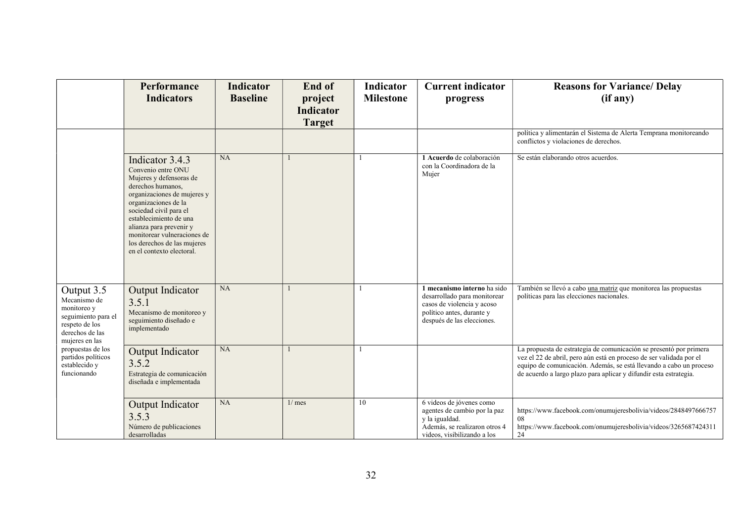|                                                                                                                                                                                                    | <b>Performance</b><br><b>Indicators</b>                                                                                                                                                                                                                                                                                | <b>Indicator</b><br><b>Baseline</b> | End of<br>project<br>Indicator<br><b>Target</b> | <b>Indicator</b><br><b>Milestone</b> | <b>Current indicator</b><br>progress                                                                                                                 | <b>Reasons for Variance/ Delay</b><br>(if any)                                                                                                                                                                                                                                       |
|----------------------------------------------------------------------------------------------------------------------------------------------------------------------------------------------------|------------------------------------------------------------------------------------------------------------------------------------------------------------------------------------------------------------------------------------------------------------------------------------------------------------------------|-------------------------------------|-------------------------------------------------|--------------------------------------|------------------------------------------------------------------------------------------------------------------------------------------------------|--------------------------------------------------------------------------------------------------------------------------------------------------------------------------------------------------------------------------------------------------------------------------------------|
|                                                                                                                                                                                                    |                                                                                                                                                                                                                                                                                                                        |                                     |                                                 |                                      |                                                                                                                                                      | política y alimentarán el Sistema de Alerta Temprana monitoreando<br>conflictos y violaciones de derechos.                                                                                                                                                                           |
|                                                                                                                                                                                                    | Indicator 3.4.3<br>Convenio entre ONU<br>Mujeres y defensoras de<br>derechos humanos,<br>organizaciones de mujeres y<br>organizaciones de la<br>sociedad civil para el<br>establecimiento de una<br>alianza para prevenir y<br>monitorear vulneraciones de<br>los derechos de las mujeres<br>en el contexto electoral. | NA                                  |                                                 |                                      | 1 Acuerdo de colaboración<br>con la Coordinadora de la<br>Mujer                                                                                      | Se están elaborando otros acuerdos.                                                                                                                                                                                                                                                  |
| Output 3.5<br>Mecanismo de<br>monitoreo y<br>seguimiento para el<br>respeto de los<br>derechos de las<br>mujeres en las<br>propuestas de los<br>partidos políticos<br>establecido y<br>funcionando | Output Indicator<br>3.5.1<br>Mecanismo de monitoreo y<br>seguimiento diseñado e<br>implementado                                                                                                                                                                                                                        | NA                                  |                                                 |                                      | 1 mecanismo interno ha sido<br>desarrollado para monitorear<br>casos de violencia y acoso<br>político antes, durante y<br>después de las elecciones. | También se llevó a cabo una matriz que monitorea las propuestas<br>políticas para las elecciones nacionales.                                                                                                                                                                         |
|                                                                                                                                                                                                    | Output Indicator<br>3.5.2<br>Estrategia de comunicación<br>diseñada e implementada                                                                                                                                                                                                                                     | NA                                  |                                                 |                                      |                                                                                                                                                      | La propuesta de estrategia de comunicación se presentó por primera<br>vez el 22 de abril, pero aún está en proceso de ser validada por el<br>equipo de comunicación. Además, se está llevando a cabo un proceso<br>de acuerdo a largo plazo para aplicar y difundir esta estrategia. |
|                                                                                                                                                                                                    | Output Indicator<br>3.5.3<br>Número de publicaciones<br>desarrolladas                                                                                                                                                                                                                                                  | NA                                  | 1/mes                                           | 10                                   | 6 videos de jóvenes como<br>agentes de cambio por la paz<br>y la igualdad.<br>Además, se realizaron otros 4<br>videos, visibilizando a los           | https://www.facebook.com/onumujeresbolivia/videos/2848497666757<br>https://www.facebook.com/onumujeresbolivia/videos/3265687424311<br>24                                                                                                                                             |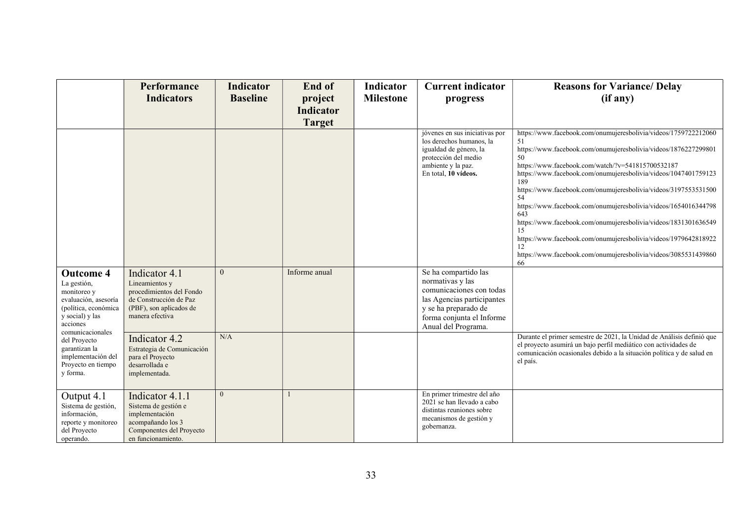|                                                                                                                               | Performance<br><b>Indicators</b>                                                                                                    | <b>Indicator</b><br><b>Baseline</b> | End of                      | <b>Indicator</b><br><b>Milestone</b> | <b>Current indicator</b>                                                                                                                                                       | <b>Reasons for Variance/ Delay</b><br>(if any)                                                                                                                                                                                                                                                                                                                                                                                                                                                                                                                                                                              |
|-------------------------------------------------------------------------------------------------------------------------------|-------------------------------------------------------------------------------------------------------------------------------------|-------------------------------------|-----------------------------|--------------------------------------|--------------------------------------------------------------------------------------------------------------------------------------------------------------------------------|-----------------------------------------------------------------------------------------------------------------------------------------------------------------------------------------------------------------------------------------------------------------------------------------------------------------------------------------------------------------------------------------------------------------------------------------------------------------------------------------------------------------------------------------------------------------------------------------------------------------------------|
|                                                                                                                               |                                                                                                                                     |                                     | project<br><b>Indicator</b> |                                      | progress                                                                                                                                                                       |                                                                                                                                                                                                                                                                                                                                                                                                                                                                                                                                                                                                                             |
|                                                                                                                               |                                                                                                                                     |                                     | <b>Target</b>               |                                      |                                                                                                                                                                                |                                                                                                                                                                                                                                                                                                                                                                                                                                                                                                                                                                                                                             |
|                                                                                                                               |                                                                                                                                     |                                     |                             |                                      | jóvenes en sus iniciativas por<br>los derechos humanos, la<br>igualdad de género, la<br>protección del medio<br>ambiente y la paz.<br>En total, 10 vídeos.                     | https://www.facebook.com/onumujeresbolivia/videos/1759722212060<br>51<br>https://www.facebook.com/onumujeresbolivia/videos/1876227299801<br>50<br>https://www.facebook.com/watch/?v=541815700532187<br>https://www.facebook.com/onumujeresbolivia/videos/1047401759123<br>https://www.facebook.com/onumujeresbolivia/videos/3197553531500<br>https://www.facebook.com/onumujeresbolivia/videos/1654016344798<br>https://www.facebook.com/onumujeresbolivia/videos/1831301636549<br>https://www.facebook.com/onumujeresbolivia/videos/1979642818922<br>https://www.facebook.com/onumujeresbolivia/videos/3085531439860<br>66 |
| <b>Outcome 4</b><br>La gestión,<br>monitoreo y<br>evaluación, asesoría<br>(política, económica<br>y social) y las<br>acciones | Indicator 4.1<br>Lineamientos y<br>procedimientos del Fondo<br>de Construcción de Paz<br>(PBF), son aplicados de<br>manera efectiva | $\mathbf{0}$                        | Informe anual               |                                      | Se ha compartido las<br>normativas y las<br>comunicaciones con todas<br>las Agencias participantes<br>y se ha preparado de<br>forma conjunta el Informe<br>Anual del Programa. |                                                                                                                                                                                                                                                                                                                                                                                                                                                                                                                                                                                                                             |
| comunicacionales<br>del Proyecto<br>garantizan la<br>implementación del<br>Proyecto en tiempo<br>y forma.                     | Indicator 4.2<br>Estrategia de Comunicación<br>para el Proyecto<br>desarrollada e<br>implementada.                                  | N/A                                 |                             |                                      |                                                                                                                                                                                | Durante el primer semestre de 2021, la Unidad de Análisis definió que<br>el proyecto asumirá un bajo perfil mediático con actividades de<br>comunicación ocasionales debido a la situación política y de salud en<br>el país.                                                                                                                                                                                                                                                                                                                                                                                               |
| Output 4.1<br>Sistema de gestión,<br>información,<br>reporte y monitoreo<br>del Proyecto<br>operando.                         | Indicator 4.1.1<br>Sistema de gestión e<br>implementación<br>acompañando los 3<br>Componentes del Proyecto<br>en funcionamiento.    | $\mathbf{0}$                        |                             |                                      | En primer trimestre del año<br>2021 se han llevado a cabo<br>distintas reuniones sobre<br>mecanismos de gestión y<br>gobernanza.                                               |                                                                                                                                                                                                                                                                                                                                                                                                                                                                                                                                                                                                                             |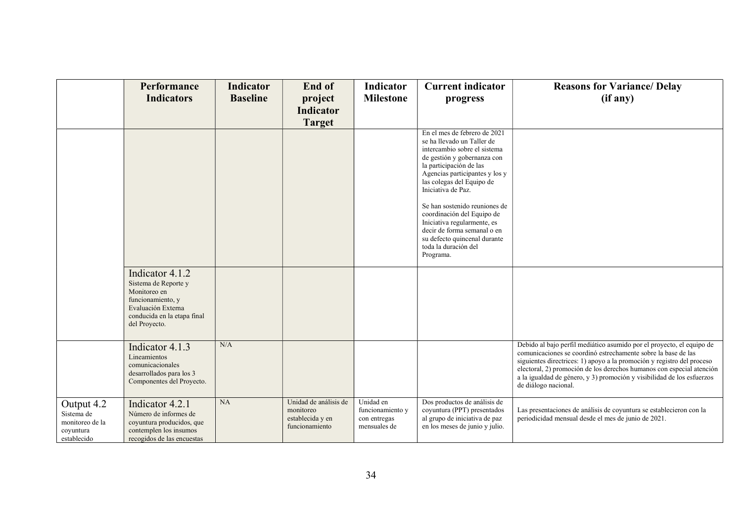|                                                                         | Performance                                                                                                                                        | <b>Indicator</b> | End of                                                                   | <b>Indicator</b>                                              | <b>Current indicator</b>                                                                                                                                                                                  | <b>Reasons for Variance/ Delay</b>                                                                                                                                                                                                                                                                                                                                                          |
|-------------------------------------------------------------------------|----------------------------------------------------------------------------------------------------------------------------------------------------|------------------|--------------------------------------------------------------------------|---------------------------------------------------------------|-----------------------------------------------------------------------------------------------------------------------------------------------------------------------------------------------------------|---------------------------------------------------------------------------------------------------------------------------------------------------------------------------------------------------------------------------------------------------------------------------------------------------------------------------------------------------------------------------------------------|
|                                                                         | <b>Indicators</b>                                                                                                                                  | <b>Baseline</b>  | project                                                                  | <b>Milestone</b>                                              | progress                                                                                                                                                                                                  | (if any)                                                                                                                                                                                                                                                                                                                                                                                    |
|                                                                         |                                                                                                                                                    |                  | Indicator                                                                |                                                               |                                                                                                                                                                                                           |                                                                                                                                                                                                                                                                                                                                                                                             |
|                                                                         |                                                                                                                                                    |                  | <b>Target</b>                                                            |                                                               | En el mes de febrero de 2021                                                                                                                                                                              |                                                                                                                                                                                                                                                                                                                                                                                             |
|                                                                         |                                                                                                                                                    |                  |                                                                          |                                                               | se ha llevado un Taller de<br>intercambio sobre el sistema<br>de gestión y gobernanza con<br>la participación de las<br>Agencias participantes y los y<br>las colegas del Equipo de<br>Iniciativa de Paz. |                                                                                                                                                                                                                                                                                                                                                                                             |
|                                                                         |                                                                                                                                                    |                  |                                                                          |                                                               | Se han sostenido reuniones de<br>coordinación del Equipo de<br>Iniciativa regularmente, es<br>decir de forma semanal o en<br>su defecto quincenal durante<br>toda la duración del<br>Programa.            |                                                                                                                                                                                                                                                                                                                                                                                             |
|                                                                         | Indicator 4.1.2<br>Sistema de Reporte y<br>Monitoreo en<br>funcionamiento, y<br>Evaluación Externa<br>conducida en la etapa final<br>del Proyecto. |                  |                                                                          |                                                               |                                                                                                                                                                                                           |                                                                                                                                                                                                                                                                                                                                                                                             |
|                                                                         | Indicator 4.1.3<br>Lineamientos<br>comunicacionales<br>desarrollados para los 3<br>Componentes del Proyecto.                                       | N/A              |                                                                          |                                                               |                                                                                                                                                                                                           | Debido al bajo perfil mediático asumido por el proyecto, el equipo de<br>comunicaciones se coordinó estrechamente sobre la base de las<br>siguientes directrices: 1) apoyo a la promoción y registro del proceso<br>electoral, 2) promoción de los derechos humanos con especial atención<br>a la igualdad de género, y 3) promoción y visibilidad de los esfuerzos<br>de diálogo nacional. |
| Output 4.2<br>Sistema de<br>monitoreo de la<br>coyuntura<br>establecido | Indicator 4.2.1<br>Número de informes de<br>coyuntura producidos, que<br>contemplen los insumos<br>recogidos de las encuestas                      | NA               | Unidad de análisis de<br>monitoreo<br>establecida y en<br>funcionamiento | Unidad en<br>funcionamiento y<br>con entregas<br>mensuales de | Dos productos de análisis de<br>coyuntura (PPT) presentados<br>al grupo de iniciativa de paz<br>en los meses de junio y julio.                                                                            | Las presentaciones de análisis de coyuntura se establecieron con la<br>periodicidad mensual desde el mes de junio de 2021.                                                                                                                                                                                                                                                                  |